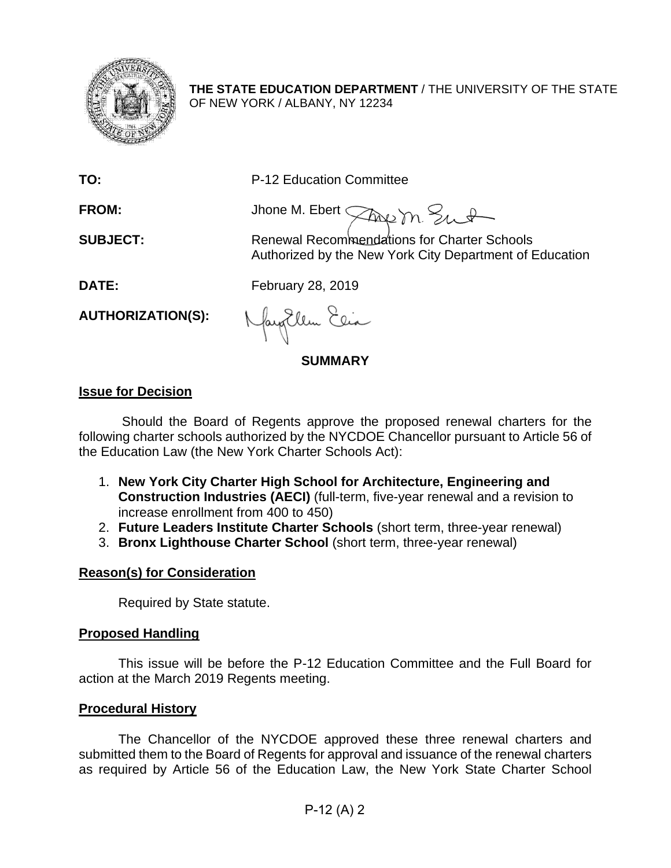

**THE STATE EDUCATION DEPARTMENT** / THE UNIVERSITY OF THE STATE OF NEW YORK / ALBANY, NY 12234

**TO:** P-12 Education Committee

FROM: Jhone M. Ebert *Three* m. Sunt

**SUBJECT:** Renewal Recommendations for Charter Schools Authorized by the New York City Department of Education

**DATE:** February 28, 2019

**AUTHORIZATION(S):**

Naytlem Elia

**SUMMARY**

# **Issue for Decision**

Should the Board of Regents approve the proposed renewal charters for the following charter schools authorized by the NYCDOE Chancellor pursuant to Article 56 of the Education Law (the New York Charter Schools Act):

- 1. **New York City Charter High School for Architecture, Engineering and Construction Industries (AECI)** (full-term, five-year renewal and a revision to increase enrollment from 400 to 450)
- 2. **Future Leaders Institute Charter Schools** (short term, three-year renewal)
- 3. **Bronx Lighthouse Charter School** (short term, three-year renewal)

# **Reason(s) for Consideration**

Required by State statute.

## **Proposed Handling**

This issue will be before the P-12 Education Committee and the Full Board for action at the March 2019 Regents meeting.

## **Procedural History**

The Chancellor of the NYCDOE approved these three renewal charters and submitted them to the Board of Regents for approval and issuance of the renewal charters as required by Article 56 of the Education Law, the New York State Charter School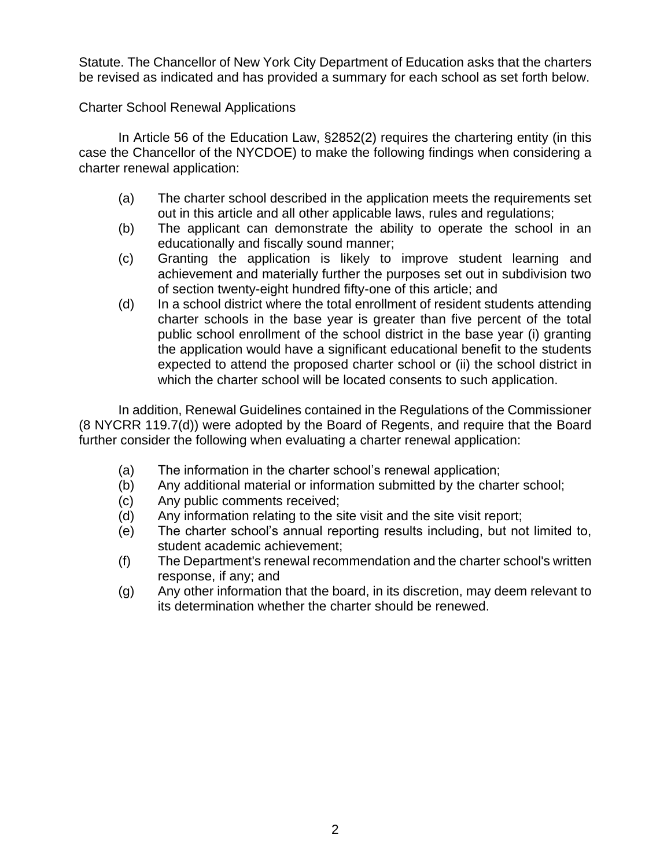Statute. The Chancellor of New York City Department of Education asks that the charters be revised as indicated and has provided a summary for each school as set forth below.

Charter School Renewal Applications

In Article 56 of the Education Law, §2852(2) requires the chartering entity (in this case the Chancellor of the NYCDOE) to make the following findings when considering a charter renewal application:

- (a) The charter school described in the application meets the requirements set out in this article and all other applicable laws, rules and regulations;
- (b) The applicant can demonstrate the ability to operate the school in an educationally and fiscally sound manner;
- (c) Granting the application is likely to improve student learning and achievement and materially further the purposes set out in subdivision two of section twenty-eight hundred fifty-one of this article; and
- (d) In a school district where the total enrollment of resident students attending charter schools in the base year is greater than five percent of the total public school enrollment of the school district in the base year (i) granting the application would have a significant educational benefit to the students expected to attend the proposed charter school or (ii) the school district in which the charter school will be located consents to such application.

In addition, Renewal Guidelines contained in the Regulations of the Commissioner (8 NYCRR 119.7(d)) were adopted by the Board of Regents, and require that the Board further consider the following when evaluating a charter renewal application:

- (a) The information in the charter school's renewal application;
- (b) Any additional material or information submitted by the charter school;
- (c) Any public comments received;
- (d) Any information relating to the site visit and the site visit report;
- (e) The charter school's annual reporting results including, but not limited to, student academic achievement;
- (f) The Department's renewal recommendation and the charter school's written response, if any; and
- (g) Any other information that the board, in its discretion, may deem relevant to its determination whether the charter should be renewed.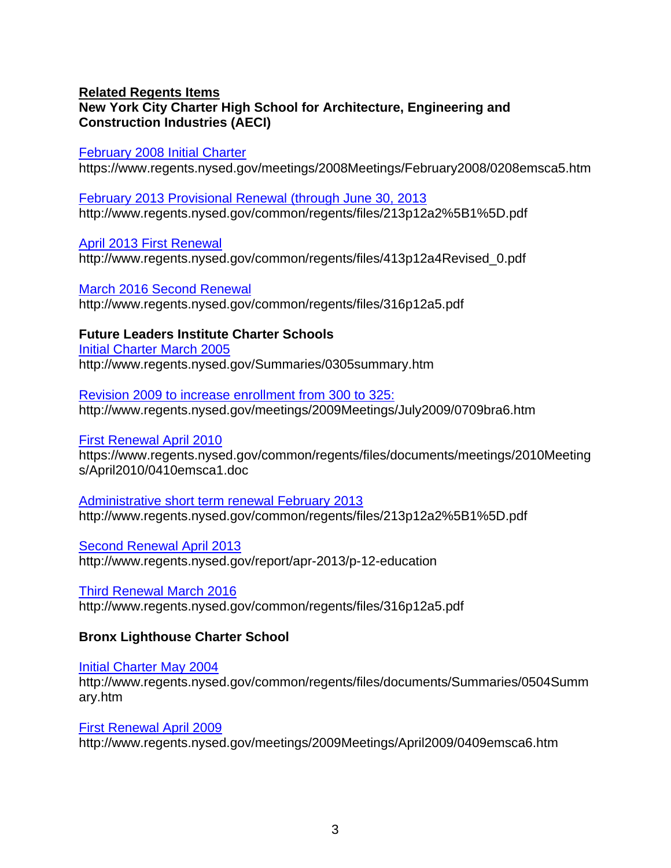## **Related Regents Items New York City Charter High School for Architecture, Engineering and Construction Industries (AECI)**

[February 2008 Initial Charter](https://www.regents.nysed.gov/meetings/2008Meetings/February2008/0208emsca5.htm)

https://www.regents.nysed.gov/meetings/2008Meetings/February2008/0208emsca5.htm

[February 2013 Provisional Renewal \(through June 30, 2013](http://www.regents.nysed.gov/common/regents/files/213p12a2%5B1%5D.pdf) http://www.regents.nysed.gov/common/regents/files/213p12a2%5B1%5D.pdf

[April 2013 First Renewal](http://www.regents.nysed.gov/common/regents/files/413p12a4Revised_0.pdf)  http://www.regents.nysed.gov/common/regents/files/413p12a4Revised\_0.pdf

[March 2016 Second Renewal](http://www.regents.nysed.gov/common/regents/files/316p12a5.pdf)  http://www.regents.nysed.gov/common/regents/files/316p12a5.pdf

**Future Leaders Institute Charter Schools** [Initial Charter March 2005](http://www.regents.nysed.gov/Summaries/0305summary.htm)  http://www.regents.nysed.gov/Summaries/0305summary.htm

Revision 2009 [to increase enrollment from 300 to 325:](http://www.regents.nysed.gov/meetings/2009Meetings/July2009/0709bra6.htm)  http://www.regents.nysed.gov/meetings/2009Meetings/July2009/0709bra6.htm

## [First Renewal April 2010](https://www.regents.nysed.gov/common/regents/files/documents/meetings/2010Meetings/April2010/0410emsca1.doc)

https://www.regents.nysed.gov/common/regents/files/documents/meetings/2010Meeting s/April2010/0410emsca1.doc

[Administrative short term renewal February 2013](http://www.regents.nysed.gov/common/regents/files/213p12a2%5B1%5D.pdf)  http://www.regents.nysed.gov/common/regents/files/213p12a2%5B1%5D.pdf

[Second Renewal April 2013](http://www.regents.nysed.gov/report/apr-2013/p-12-education)  http://www.regents.nysed.gov/report/apr-2013/p-12-education

[Third Renewal March 2016](http://www.regents.nysed.gov/common/regents/files/316p12a5.pdf)  http://www.regents.nysed.gov/common/regents/files/316p12a5.pdf

## **Bronx Lighthouse Charter School**

[Initial Charter May 2004](http://www.regents.nysed.gov/common/regents/files/documents/Summaries/0504Summary.htm)  http://www.regents.nysed.gov/common/regents/files/documents/Summaries/0504Summ ary.htm

[First Renewal April 2009](http://www.regents.nysed.gov/meetings/2009Meetings/April2009/0409emsca6.htm)  http://www.regents.nysed.gov/meetings/2009Meetings/April2009/0409emsca6.htm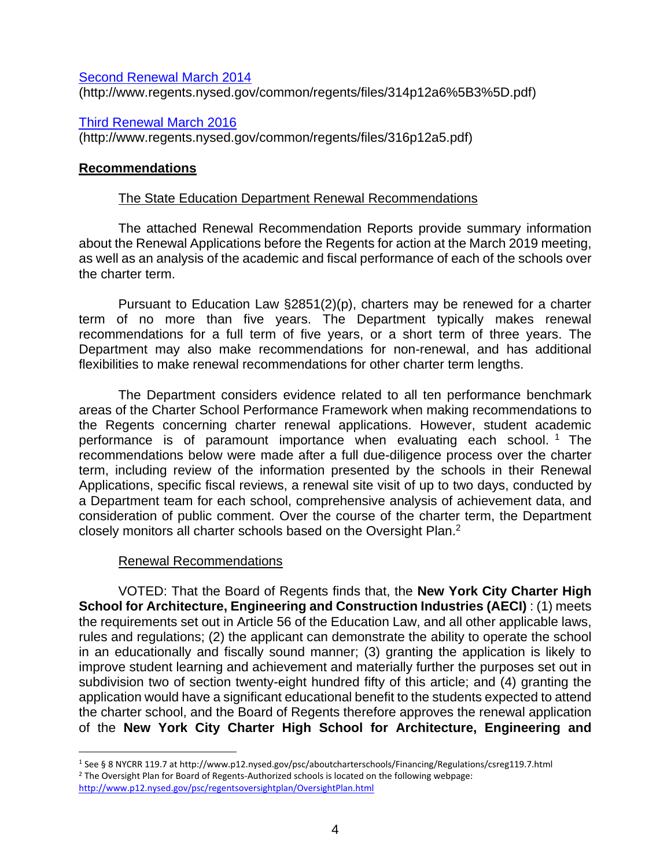[Second Renewal](http://www.regents.nysed.gov/common/regents/files/314p12a6%5B3%5D.pdf) March 2014 (http://www.regents.nysed.gov/common/regents/files/314p12a6%5B3%5D.pdf)

[Third Renewal March 2016](http://www.regents.nysed.gov/common/regents/files/316p12a5.pdf)  (http://www.regents.nysed.gov/common/regents/files/316p12a5.pdf)

## **Recommendations**

## The State Education Department Renewal Recommendations

The attached Renewal Recommendation Reports provide summary information about the Renewal Applications before the Regents for action at the March 2019 meeting, as well as an analysis of the academic and fiscal performance of each of the schools over the charter term.

Pursuant to Education Law §2851(2)(p), charters may be renewed for a charter term of no more than five years. The Department typically makes renewal recommendations for a full term of five years, or a short term of three years. The Department may also make recommendations for non-renewal, and has additional flexibilities to make renewal recommendations for other charter term lengths.

The Department considers evidence related to all ten performance benchmark areas of the Charter School Performance Framework when making recommendations to the Regents concerning charter renewal applications. However, student academic performance is of paramount importance when evaluating each school.<sup>1</sup> The recommendations below were made after a full due-diligence process over the charter term, including review of the information presented by the schools in their Renewal Applications, specific fiscal reviews, a renewal site visit of up to two days, conducted by a Department team for each school, comprehensive analysis of achievement data, and consideration of public comment. Over the course of the charter term, the Department closely monitors all charter schools based on the Oversight Plan.<sup>2</sup>

## Renewal Recommendations

 $\overline{a}$ 

VOTED: That the Board of Regents finds that, the **New York City Charter High School for Architecture, Engineering and Construction Industries (AECI)** : (1) meets the requirements set out in Article 56 of the Education Law, and all other applicable laws, rules and regulations; (2) the applicant can demonstrate the ability to operate the school in an educationally and fiscally sound manner; (3) granting the application is likely to improve student learning and achievement and materially further the purposes set out in subdivision two of section twenty-eight hundred fifty of this article; and (4) granting the application would have a significant educational benefit to the students expected to attend the charter school, and the Board of Regents therefore approves the renewal application of the **New York City Charter High School for Architecture, Engineering and** 

<sup>1</sup> See § 8 NYCRR 119.7 at http://www.p12.nysed.gov/psc/aboutcharterschools/Financing/Regulations/csreg119.7.html <sup>2</sup> The Oversight Plan for Board of Regents-Authorized schools is located on the following webpage: <http://www.p12.nysed.gov/psc/regentsoversightplan/OversightPlan.html>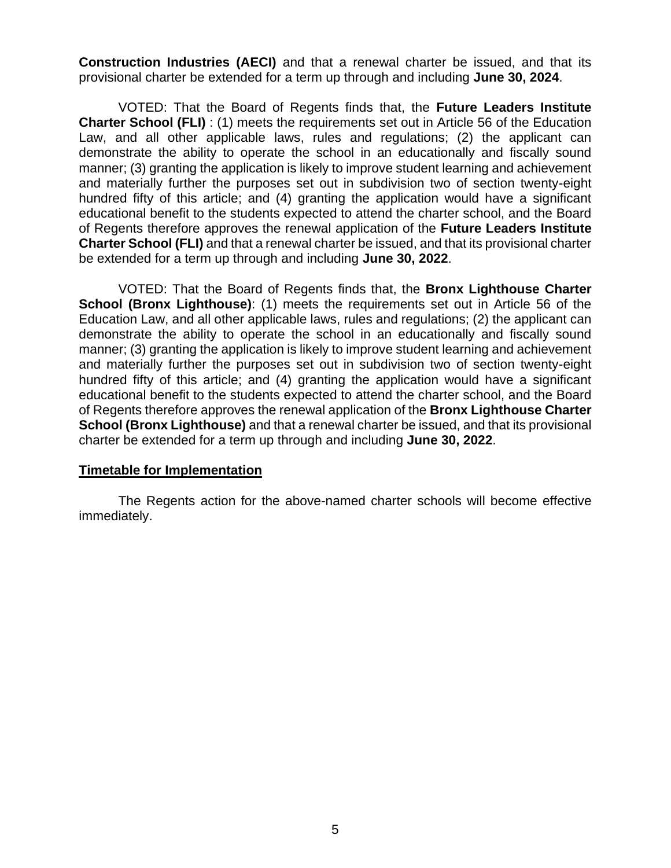**Construction Industries (AECI)** and that a renewal charter be issued, and that its provisional charter be extended for a term up through and including **June 30, 2024**.

VOTED: That the Board of Regents finds that, the **Future Leaders Institute Charter School (FLI)**: (1) meets the requirements set out in Article 56 of the Education Law, and all other applicable laws, rules and regulations; (2) the applicant can demonstrate the ability to operate the school in an educationally and fiscally sound manner; (3) granting the application is likely to improve student learning and achievement and materially further the purposes set out in subdivision two of section twenty-eight hundred fifty of this article; and (4) granting the application would have a significant educational benefit to the students expected to attend the charter school, and the Board of Regents therefore approves the renewal application of the **Future Leaders Institute Charter School (FLI)** and that a renewal charter be issued, and that its provisional charter be extended for a term up through and including **June 30, 2022**.

VOTED: That the Board of Regents finds that, the **Bronx Lighthouse Charter School (Bronx Lighthouse)**: (1) meets the requirements set out in Article 56 of the Education Law, and all other applicable laws, rules and regulations; (2) the applicant can demonstrate the ability to operate the school in an educationally and fiscally sound manner; (3) granting the application is likely to improve student learning and achievement and materially further the purposes set out in subdivision two of section twenty-eight hundred fifty of this article; and (4) granting the application would have a significant educational benefit to the students expected to attend the charter school, and the Board of Regents therefore approves the renewal application of the **Bronx Lighthouse Charter School (Bronx Lighthouse)** and that a renewal charter be issued, and that its provisional charter be extended for a term up through and including **June 30, 2022**.

## **Timetable for Implementation**

The Regents action for the above-named charter schools will become effective immediately.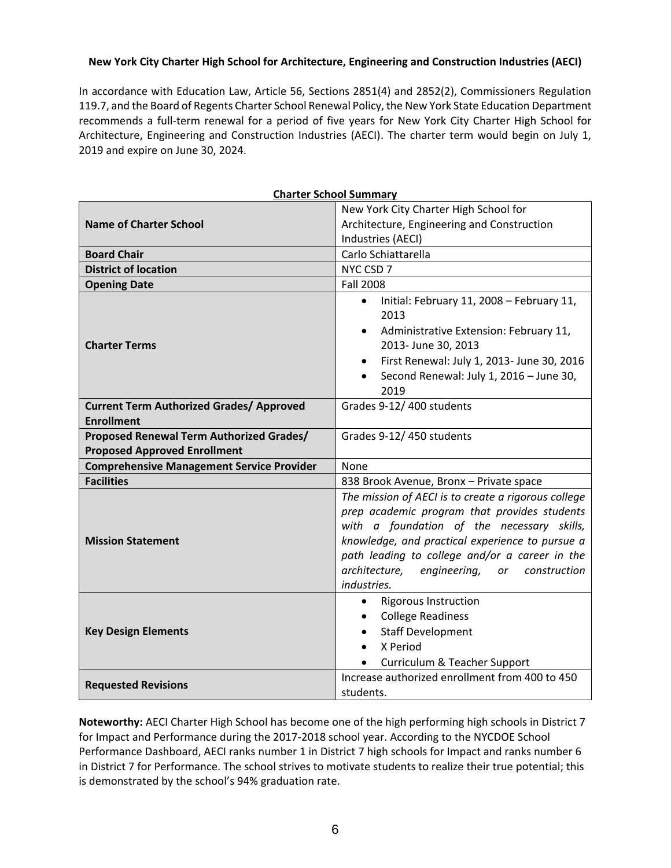### **New York City Charter High School for Architecture, Engineering and Construction Industries (AECI)**

In accordance with Education Law, Article 56, Sections 2851(4) and 2852(2), Commissioners Regulation 119.7, and the Board of Regents Charter School Renewal Policy, the New York State Education Department recommends a full-term renewal for a period of five years for New York City Charter High School for Architecture, Engineering and Construction Industries (AECI). The charter term would begin on July 1, 2019 and expire on June 30, 2024.

|                                                                                                  | <b>Charter School Summary</b>                                                                                                                                                                                                                                                                                                |  |  |  |  |  |
|--------------------------------------------------------------------------------------------------|------------------------------------------------------------------------------------------------------------------------------------------------------------------------------------------------------------------------------------------------------------------------------------------------------------------------------|--|--|--|--|--|
|                                                                                                  | New York City Charter High School for                                                                                                                                                                                                                                                                                        |  |  |  |  |  |
| <b>Name of Charter School</b>                                                                    | Architecture, Engineering and Construction                                                                                                                                                                                                                                                                                   |  |  |  |  |  |
|                                                                                                  | Industries (AECI)                                                                                                                                                                                                                                                                                                            |  |  |  |  |  |
| <b>Board Chair</b>                                                                               | Carlo Schiattarella                                                                                                                                                                                                                                                                                                          |  |  |  |  |  |
| <b>District of location</b>                                                                      | NYC CSD 7                                                                                                                                                                                                                                                                                                                    |  |  |  |  |  |
| <b>Opening Date</b>                                                                              | <b>Fall 2008</b>                                                                                                                                                                                                                                                                                                             |  |  |  |  |  |
| <b>Charter Terms</b>                                                                             | Initial: February 11, 2008 - February 11,<br>$\bullet$<br>2013<br>Administrative Extension: February 11,<br>$\bullet$<br>2013- June 30, 2013                                                                                                                                                                                 |  |  |  |  |  |
|                                                                                                  | First Renewal: July 1, 2013- June 30, 2016<br>$\bullet$<br>Second Renewal: July 1, 2016 - June 30,<br>2019                                                                                                                                                                                                                   |  |  |  |  |  |
| Grades 9-12/400 students<br><b>Current Term Authorized Grades/ Approved</b><br><b>Enrollment</b> |                                                                                                                                                                                                                                                                                                                              |  |  |  |  |  |
| Proposed Renewal Term Authorized Grades/                                                         | Grades 9-12/450 students                                                                                                                                                                                                                                                                                                     |  |  |  |  |  |
| <b>Proposed Approved Enrollment</b>                                                              |                                                                                                                                                                                                                                                                                                                              |  |  |  |  |  |
| <b>Comprehensive Management Service Provider</b>                                                 | None                                                                                                                                                                                                                                                                                                                         |  |  |  |  |  |
| <b>Facilities</b>                                                                                | 838 Brook Avenue, Bronx - Private space                                                                                                                                                                                                                                                                                      |  |  |  |  |  |
| <b>Mission Statement</b>                                                                         | The mission of AECI is to create a rigorous college<br>prep academic program that provides students<br>with a foundation of the necessary skills,<br>knowledge, and practical experience to pursue a<br>path leading to college and/or a career in the<br>architecture,<br>engineering,<br>construction<br>or<br>industries. |  |  |  |  |  |
| <b>Key Design Elements</b>                                                                       | <b>Rigorous Instruction</b><br>$\bullet$<br><b>College Readiness</b><br>$\bullet$<br><b>Staff Development</b><br>$\bullet$<br>X Period<br>Curriculum & Teacher Support<br>$\bullet$                                                                                                                                          |  |  |  |  |  |
| <b>Requested Revisions</b>                                                                       | Increase authorized enrollment from 400 to 450<br>students.                                                                                                                                                                                                                                                                  |  |  |  |  |  |

**Noteworthy:** AECI Charter High School has become one of the high performing high schools in District 7 for Impact and Performance during the 2017-2018 school year. According to the NYCDOE School Performance Dashboard, AECI ranks number 1 in District 7 high schools for Impact and ranks number 6 in District 7 for Performance. The school strives to motivate students to realize their true potential; this is demonstrated by the school's 94% graduation rate.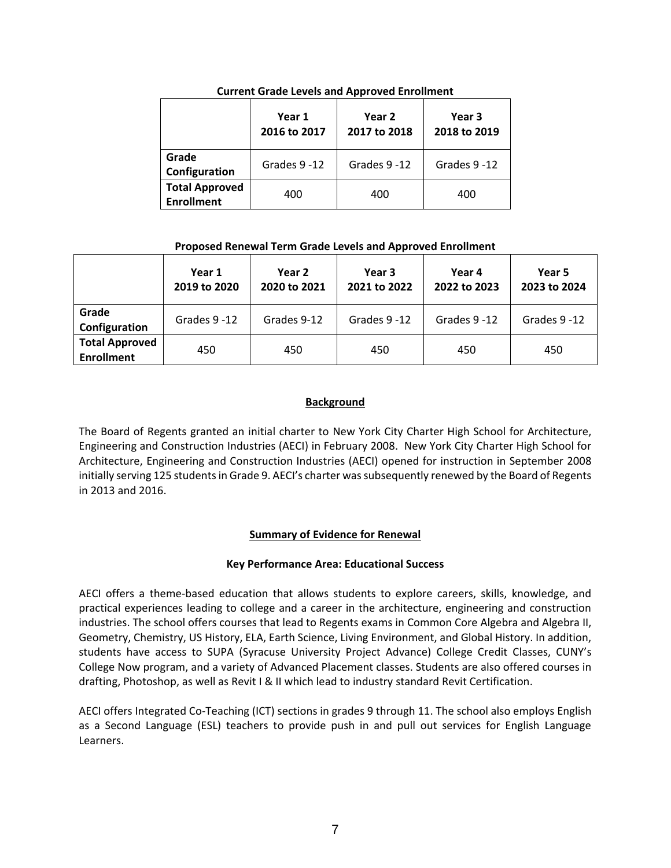|                                            | Year 1<br>2016 to 2017 | Year 2<br>2017 to 2018 | Year 3<br>2018 to 2019 |  |
|--------------------------------------------|------------------------|------------------------|------------------------|--|
| Grade<br>Configuration                     | Grades 9-12            | Grades 9-12            | Grades 9-12            |  |
| <b>Total Approved</b><br><b>Enrollment</b> | 400                    | 400                    | 400                    |  |

**Current Grade Levels and Approved Enrollment**

### **Proposed Renewal Term Grade Levels and Approved Enrollment**

|                                            | Year 1<br>2019 to 2020 | Year 2<br>2020 to 2021 | Year 3<br>2021 to 2022 | Year 4<br>2022 to 2023 | Year 5<br>2023 to 2024 |
|--------------------------------------------|------------------------|------------------------|------------------------|------------------------|------------------------|
| Grade<br>Configuration                     | Grades 9 -12           | Grades 9-12            | Grades 9-12            | Grades 9-12            | Grades 9-12            |
| <b>Total Approved</b><br><b>Enrollment</b> | 450                    | 450                    | 450                    | 450                    | 450                    |

## **Background**

The Board of Regents granted an initial charter to New York City Charter High School for Architecture, Engineering and Construction Industries (AECI) in February 2008. New York City Charter High School for Architecture, Engineering and Construction Industries (AECI) opened for instruction in September 2008 initially serving 125 students in Grade 9. AECI's charter was subsequently renewed by the Board of Regents in 2013 and 2016.

## **Summary of Evidence for Renewal**

#### **Key Performance Area: Educational Success**

AECI offers a theme-based education that allows students to explore careers, skills, knowledge, and practical experiences leading to college and a career in the architecture, engineering and construction industries. The school offers courses that lead to Regents exams in Common Core Algebra and Algebra II, Geometry, Chemistry, US History, ELA, Earth Science, Living Environment, and Global History. In addition, students have access to SUPA (Syracuse University Project Advance) College Credit Classes, CUNY's College Now program, and a variety of Advanced Placement classes. Students are also offered courses in drafting, Photoshop, as well as Revit I & II which lead to industry standard Revit Certification.

AECI offers Integrated Co-Teaching (ICT) sections in grades 9 through 11. The school also employs English as a Second Language (ESL) teachers to provide push in and pull out services for English Language Learners.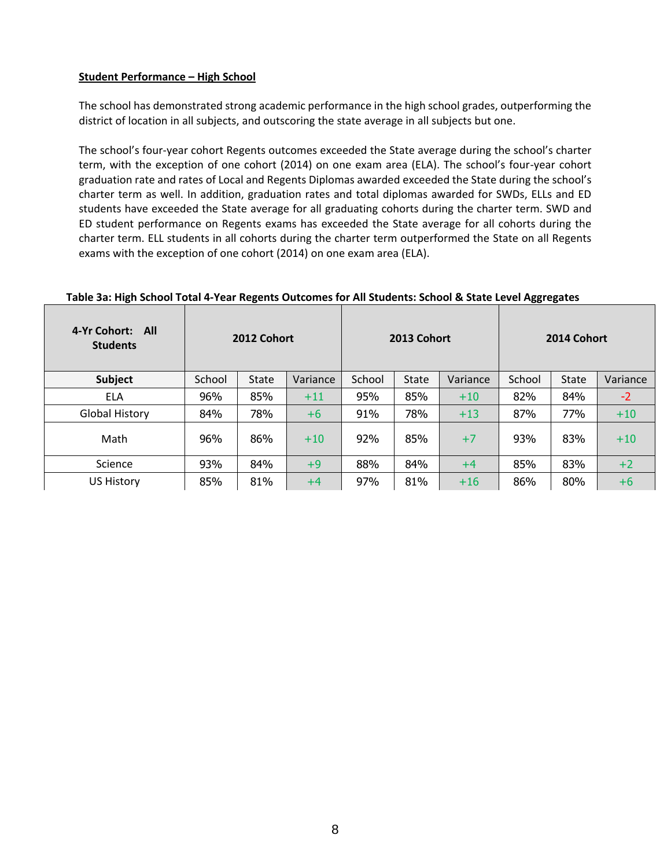### **Student Performance – High School**

The school has demonstrated strong academic performance in the high school grades, outperforming the district of location in all subjects, and outscoring the state average in all subjects but one.

The school's four-year cohort Regents outcomes exceeded the State average during the school's charter term, with the exception of one cohort (2014) on one exam area (ELA). The school's four-year cohort graduation rate and rates of Local and Regents Diplomas awarded exceeded the State during the school's charter term as well. In addition, graduation rates and total diplomas awarded for SWDs, ELLs and ED students have exceeded the State average for all graduating cohorts during the charter term. SWD and ED student performance on Regents exams has exceeded the State average for all cohorts during the charter term. ELL students in all cohorts during the charter term outperformed the State on all Regents exams with the exception of one cohort (2014) on one exam area (ELA).

| 4-Yr Cohort: All<br><b>Students</b> | 2012 Cohort |              | 2013 Cohort |        |              | 2014 Cohort |        |              |          |
|-------------------------------------|-------------|--------------|-------------|--------|--------------|-------------|--------|--------------|----------|
| Subject                             | School      | <b>State</b> | Variance    | School | <b>State</b> | Variance    | School | <b>State</b> | Variance |
| <b>ELA</b>                          | 96%         | 85%          | $+11$       | 95%    | 85%          | $+10$       | 82%    | 84%          | $-2$     |
| <b>Global History</b>               | 84%         | 78%          | $+6$        | 91%    | 78%          | $+13$       | 87%    | 77%          | $+10$    |
| Math                                | 96%         | 86%          | $+10$       | 92%    | 85%          | $+7$        | 93%    | 83%          | $+10$    |
| Science                             | 93%         | 84%          | $+9$        | 88%    | 84%          | $+4$        | 85%    | 83%          | $+2$     |
| <b>US History</b>                   | 85%         | 81%          | $+4$        | 97%    | 81%          | $+16$       | 86%    | 80%          | $+6$     |

#### **Table 3a: High School Total 4-Year Regents Outcomes for All Students: School & State Level Aggregates**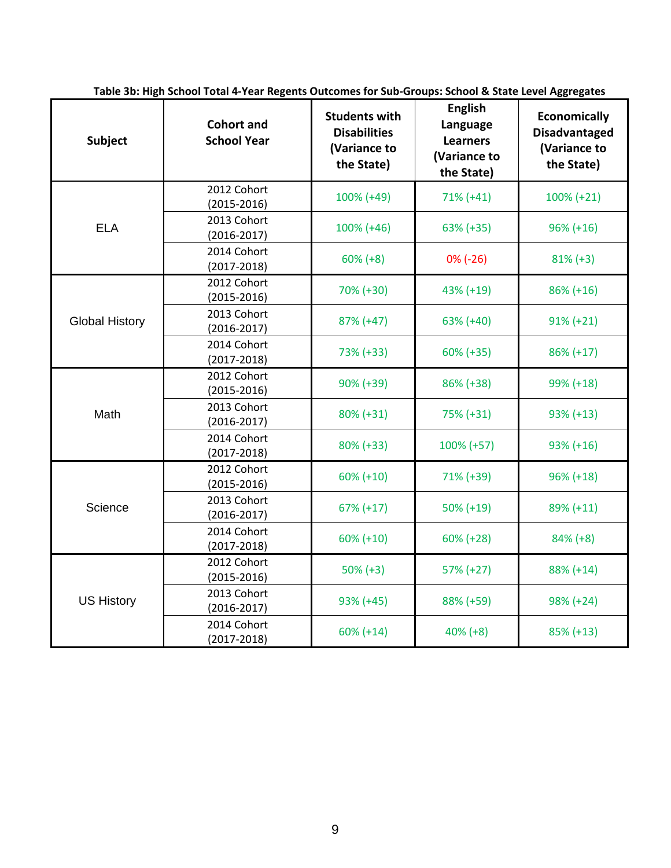| Subject               | <b>Cohort and</b><br><b>School Year</b> | <b>Students with</b><br><b>Disabilities</b><br>(Variance to<br>the State) | <b>English</b><br>Language<br><b>Learners</b><br>(Variance to<br>the State) | <b>Economically</b><br><b>Disadvantaged</b><br>(Variance to<br>the State) |
|-----------------------|-----------------------------------------|---------------------------------------------------------------------------|-----------------------------------------------------------------------------|---------------------------------------------------------------------------|
|                       | 2012 Cohort<br>$(2015 - 2016)$          | 100% (+49)                                                                | $71\% (+41)$                                                                | $100\% (+21)$                                                             |
| <b>ELA</b>            | 2013 Cohort<br>$(2016 - 2017)$          | $100\% (+46)$                                                             | 63% (+35)                                                                   | $96\% (+16)$                                                              |
|                       | 2014 Cohort<br>$(2017 - 2018)$          | $60\% (+8)$                                                               | $0\%$ (-26)                                                                 | $81\% (+3)$                                                               |
|                       | 2012 Cohort<br>$(2015 - 2016)$          | 70% (+30)                                                                 | 43% (+19)                                                                   | $86\% (+16)$                                                              |
| <b>Global History</b> | 2013 Cohort<br>$(2016 - 2017)$          | $87\% (+47)$                                                              | $63\% (+40)$                                                                | $91\% (+21)$                                                              |
|                       | 2014 Cohort<br>$(2017 - 2018)$          | 73% (+33)                                                                 | $60\% (+35)$                                                                | $86\% (+17)$                                                              |
|                       | 2012 Cohort<br>$(2015 - 2016)$          | $90\% (+39)$                                                              | 86% (+38)                                                                   | 99% (+18)                                                                 |
| Math                  | 2013 Cohort<br>$(2016 - 2017)$          | $80\% (+31)$                                                              | 75% (+31)                                                                   | $93\% (+13)$                                                              |
|                       | 2014 Cohort<br>$(2017 - 2018)$          | $80\% (+33)$                                                              | 100% (+57)                                                                  | $93\% (+16)$                                                              |
|                       | 2012 Cohort<br>$(2015 - 2016)$          | $60\% (+10)$                                                              | 71% (+39)                                                                   | $96\% (+18)$                                                              |
| Science               | 2013 Cohort<br>$(2016 - 2017)$          | $67\% (+17)$                                                              | $50\% (+19)$                                                                | 89% (+11)                                                                 |
|                       | 2014 Cohort<br>$(2017 - 2018)$          | $60\% (+10)$                                                              | $60\% (+28)$                                                                | $84\% (+8)$                                                               |
|                       | 2012 Cohort<br>$(2015 - 2016)$          | $50\% (+3)$                                                               | 57% (+27)                                                                   | 88% (+14)                                                                 |
| <b>US History</b>     | 2013 Cohort<br>$(2016 - 2017)$          | $93\% (+45)$                                                              | 88% (+59)                                                                   | $98\% (+24)$                                                              |
|                       | 2014 Cohort<br>$(2017 - 2018)$          | $60\% (+14)$                                                              | $40\% (+8)$                                                                 | $85\% (+13)$                                                              |

**Table 3b: High School Total 4-Year Regents Outcomes for Sub-Groups: School & State Level Aggregates**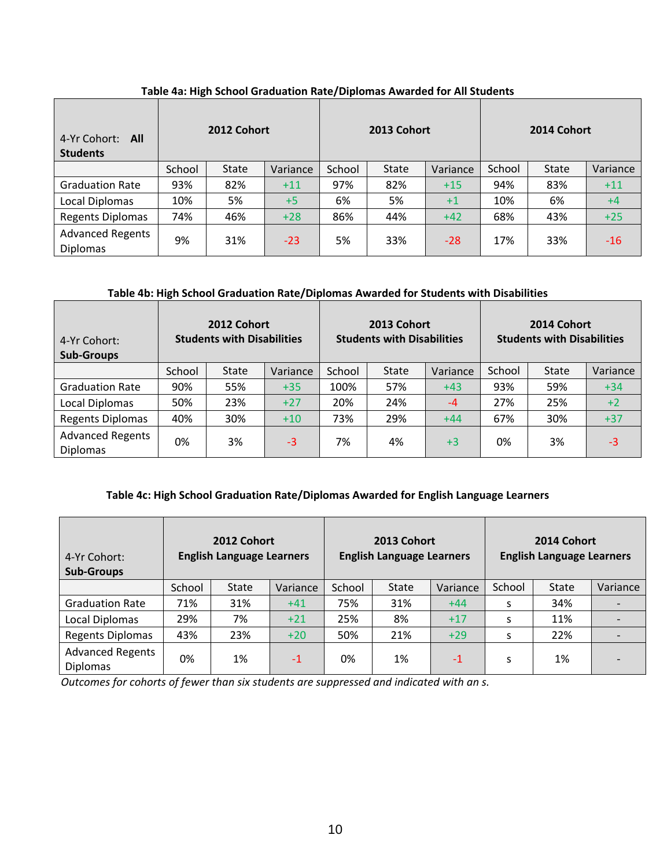| 4-Yr Cohort: All<br><b>Students</b>        | 2012 Cohort |              |          | 2013 Cohort |       |          | 2014 Cohort |              |          |
|--------------------------------------------|-------------|--------------|----------|-------------|-------|----------|-------------|--------------|----------|
|                                            | School      | <b>State</b> | Variance | School      | State | Variance | School      | <b>State</b> | Variance |
| <b>Graduation Rate</b>                     | 93%         | 82%          | $+11$    | 97%         | 82%   | $+15$    | 94%         | 83%          | $+11$    |
| Local Diplomas                             | 10%         | 5%           | $+5$     | 6%          | 5%    | $+1$     | 10%         | 6%           | $+4$     |
| <b>Regents Diplomas</b>                    | 74%         | 46%          | $+28$    | 86%         | 44%   | $+42$    | 68%         | 43%          | $+25$    |
| <b>Advanced Regents</b><br><b>Diplomas</b> | 9%          | 31%          | $-23$    | 5%          | 33%   | $-28$    | 17%         | 33%          | $-16$    |

## **Table 4a: High School Graduation Rate/Diplomas Awarded for All Students**

## **Table 4b: High School Graduation Rate/Diplomas Awarded for Students with Disabilities**

| 4-Yr Cohort:<br><b>Sub-Groups</b>          | 2012 Cohort<br><b>Students with Disabilities</b> |              |          | 2013 Cohort<br><b>Students with Disabilities</b> |              |          | 2014 Cohort<br><b>Students with Disabilities</b> |              |          |
|--------------------------------------------|--------------------------------------------------|--------------|----------|--------------------------------------------------|--------------|----------|--------------------------------------------------|--------------|----------|
|                                            | School                                           | <b>State</b> | Variance | School                                           | <b>State</b> | Variance | School                                           | <b>State</b> | Variance |
| <b>Graduation Rate</b>                     | 90%                                              | 55%          | $+35$    | 100%                                             | 57%          | $+43$    | 93%                                              | 59%          | $+34$    |
| Local Diplomas                             | 50%                                              | 23%          | $+27$    | 20%                                              | 24%          | $-4$     | 27%                                              | 25%          | $+2$     |
| <b>Regents Diplomas</b>                    | 40%                                              | 30%          | $+10$    | 73%                                              | 29%          | $+44$    | 67%                                              | 30%          | $+37$    |
| <b>Advanced Regents</b><br><b>Diplomas</b> | 0%                                               | 3%           | $-3$     | 7%                                               | 4%           | $+3$     | 0%                                               | 3%           | $-3$     |

## **Table 4c: High School Graduation Rate/Diplomas Awarded for English Language Learners**

| 4-Yr Cohort:<br><b>Sub-Groups</b>          | 2012 Cohort<br><b>English Language Learners</b> |              | 2013 Cohort<br><b>English Language Learners</b> |        |       | 2014 Cohort<br><b>English Language Learners</b> |        |              |          |
|--------------------------------------------|-------------------------------------------------|--------------|-------------------------------------------------|--------|-------|-------------------------------------------------|--------|--------------|----------|
|                                            | School                                          | <b>State</b> | Variance                                        | School | State | Variance                                        | School | <b>State</b> | Variance |
| <b>Graduation Rate</b>                     | 71%                                             | 31%          | $+41$                                           | 75%    | 31%   | $+44$                                           | s      | 34%          |          |
| Local Diplomas                             | 29%                                             | 7%           | $+21$                                           | 25%    | 8%    | $+17$                                           | S      | 11%          |          |
| <b>Regents Diplomas</b>                    | 43%                                             | 23%          | $+20$                                           | 50%    | 21%   | $+29$                                           | S      | 22%          |          |
| <b>Advanced Regents</b><br><b>Diplomas</b> | 0%                                              | 1%           | $-1$                                            | 0%     | 1%    | $-1$                                            | S      | 1%           |          |

*Outcomes for cohorts of fewer than six students are suppressed and indicated with an s.*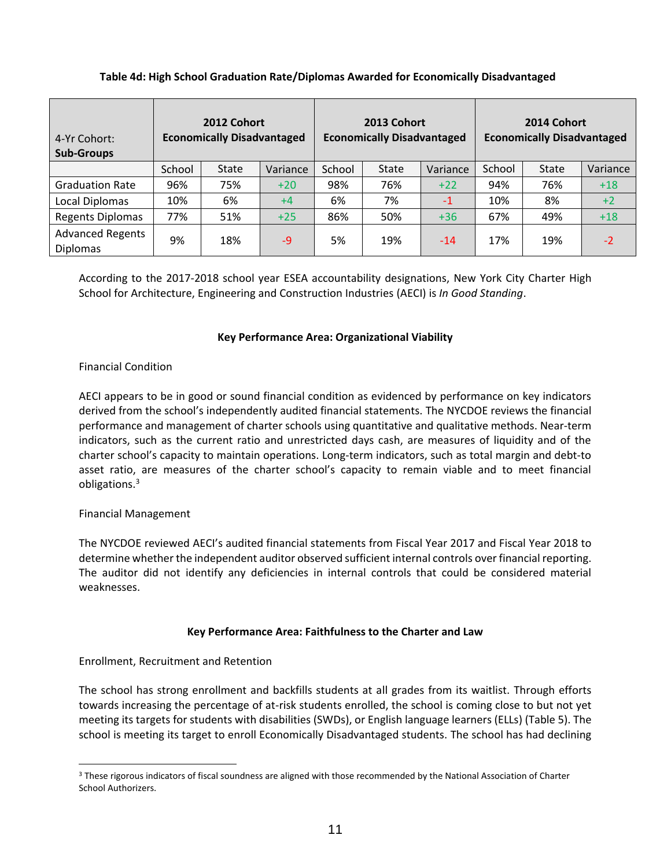| 4-Yr Cohort:<br><b>Sub-Groups</b>          | 2012 Cohort<br><b>Economically Disadvantaged</b> |              | 2013 Cohort<br><b>Economically Disadvantaged</b> |        |              | 2014 Cohort<br><b>Economically Disadvantaged</b> |        |              |          |
|--------------------------------------------|--------------------------------------------------|--------------|--------------------------------------------------|--------|--------------|--------------------------------------------------|--------|--------------|----------|
|                                            | School                                           | <b>State</b> | Variance                                         | School | <b>State</b> | Variance                                         | School | <b>State</b> | Variance |
| <b>Graduation Rate</b>                     | 96%                                              | 75%          | $+20$                                            | 98%    | 76%          | $+22$                                            | 94%    | 76%          | $+18$    |
| Local Diplomas                             | 10%                                              | 6%           | $+4$                                             | 6%     | 7%           | $-1$                                             | 10%    | 8%           | $+2$     |
| <b>Regents Diplomas</b>                    | 77%                                              | 51%          | $+25$                                            | 86%    | 50%          | $+36$                                            | 67%    | 49%          | $+18$    |
| <b>Advanced Regents</b><br><b>Diplomas</b> | 9%                                               | 18%          | $-9$                                             | 5%     | 19%          | $-14$                                            | 17%    | 19%          | $-2$     |

## **Table 4d: High School Graduation Rate/Diplomas Awarded for Economically Disadvantaged**

According to the 2017-2018 school year ESEA accountability designations, New York City Charter High School for Architecture, Engineering and Construction Industries (AECI) is *In Good Standing*.

### **Key Performance Area: Organizational Viability**

#### Financial Condition

AECI appears to be in good or sound financial condition as evidenced by performance on key indicators derived from the school's independently audited financial statements. The NYCDOE reviews the financial performance and management of charter schools using quantitative and qualitative methods. Near‐term indicators, such as the current ratio and unrestricted days cash, are measures of liquidity and of the charter school's capacity to maintain operations. Long-term indicators, such as total margin and debt-to asset ratio, are measures of the charter school's capacity to remain viable and to meet financial obligations.<sup>3</sup>

#### Financial Management

 $\overline{a}$ 

The NYCDOE reviewed AECI's audited financial statements from Fiscal Year 2017 and Fiscal Year 2018 to determine whether the independent auditor observed sufficient internal controls over financial reporting. The auditor did not identify any deficiencies in internal controls that could be considered material weaknesses.

#### **Key Performance Area: Faithfulness to the Charter and Law**

## Enrollment, Recruitment and Retention

The school has strong enrollment and backfills students at all grades from its waitlist. Through efforts towards increasing the percentage of at-risk students enrolled, the school is coming close to but not yet meeting its targets for students with disabilities (SWDs), or English language learners (ELLs) (Table 5). The school is meeting its target to enroll Economically Disadvantaged students. The school has had declining

<sup>&</sup>lt;sup>3</sup> These rigorous indicators of fiscal soundness are aligned with those recommended by the National Association of Charter School Authorizers.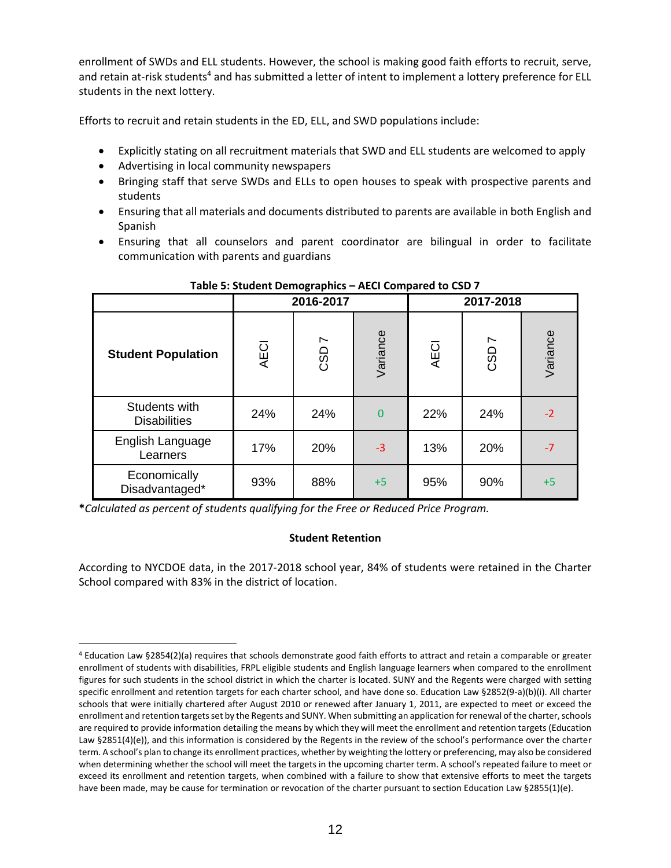enrollment of SWDs and ELL students. However, the school is making good faith efforts to recruit, serve, and retain at-risk students<sup>4</sup> and has submitted a letter of intent to implement a lottery preference for ELL students in the next lottery.

Efforts to recruit and retain students in the ED, ELL, and SWD populations include:

- Explicitly stating on all recruitment materials that SWD and ELL students are welcomed to apply
- Advertising in local community newspapers
- Bringing staff that serve SWDs and ELLs to open houses to speak with prospective parents and students
- Ensuring that all materials and documents distributed to parents are available in both English and Spanish
- Ensuring that all counselors and parent coordinator are bilingual in order to facilitate communication with parents and guardians

|                                      |             | 2016-2017             |          | 2017-2018   |                                 |          |  |
|--------------------------------------|-------------|-----------------------|----------|-------------|---------------------------------|----------|--|
| <b>Student Population</b>            | <b>AECI</b> | $\overline{ }$<br>CSD | Variance | <b>AECI</b> | $\overline{\phantom{0}}$<br>CSD | Variance |  |
| Students with<br><b>Disabilities</b> | 24%         | 24%                   | 0        | 22%         | 24%                             | $-2$     |  |
| English Language<br>Learners         | 17%         | 20%                   | $-3$     | 13%         | 20%                             | $-7$     |  |
| Economically<br>Disadvantaged*       | 93%         | 88%                   | $+5$     | 95%         | 90%                             | $+5$     |  |

## **Table 5: Student Demographics – AECI Compared to CSD 7**

**\****Calculated as percent of students qualifying for the Free or Reduced Price Program.*

#### **Student Retention**

According to NYCDOE data, in the 2017-2018 school year, 84% of students were retained in the Charter School compared with 83% in the district of location.

 $\overline{a}$ <sup>4</sup> Education Law §2854(2)(a) requires that schools demonstrate good faith efforts to attract and retain a comparable or greater enrollment of students with disabilities, FRPL eligible students and English language learners when compared to the enrollment figures for such students in the school district in which the charter is located. SUNY and the Regents were charged with setting specific enrollment and retention targets for each charter school, and have done so. Education Law §2852(9-a)(b)(i). All charter schools that were initially chartered after August 2010 or renewed after January 1, 2011, are expected to meet or exceed the enrollment and retention targets set by the Regents and SUNY. When submitting an application for renewal of the charter, schools are required to provide information detailing the means by which they will meet the enrollment and retention targets (Education Law §2851(4)(e)), and this information is considered by the Regents in the review of the school's performance over the charter term. A school's plan to change its enrollment practices, whether by weighting the lottery or preferencing, may also be considered when determining whether the school will meet the targets in the upcoming charter term. A school's repeated failure to meet or exceed its enrollment and retention targets, when combined with a failure to show that extensive efforts to meet the targets have been made, may be cause for termination or revocation of the charter pursuant to section Education Law §2855(1)(e).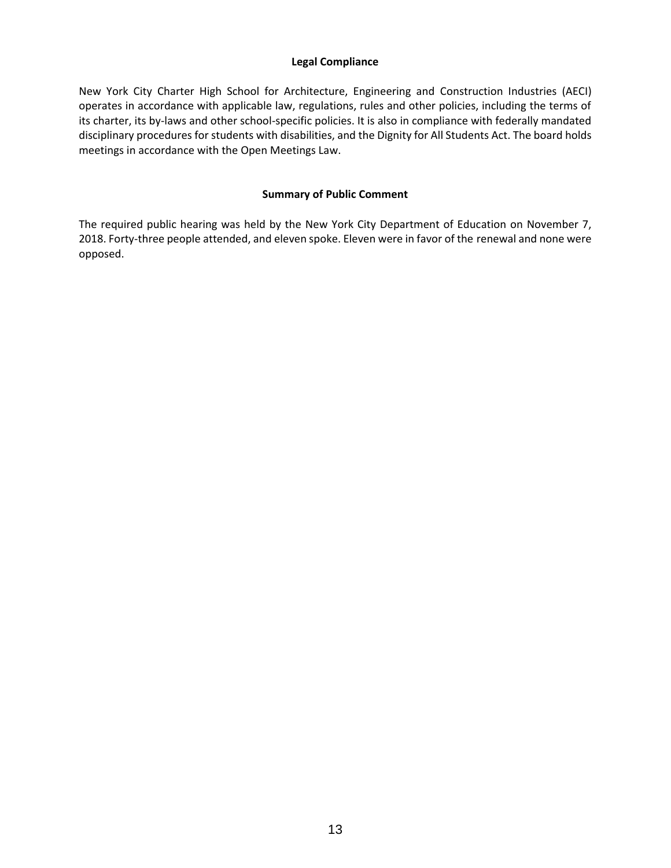#### **Legal Compliance**

New York City Charter High School for Architecture, Engineering and Construction Industries (AECI) operates in accordance with applicable law, regulations, rules and other policies, including the terms of its charter, its by-laws and other school-specific policies. It is also in compliance with federally mandated disciplinary procedures for students with disabilities, and the Dignity for All Students Act. The board holds meetings in accordance with the Open Meetings Law.

#### **Summary of Public Comment**

The required public hearing was held by the New York City Department of Education on November 7, 2018. Forty-three people attended, and eleven spoke. Eleven were in favor of the renewal and none were opposed.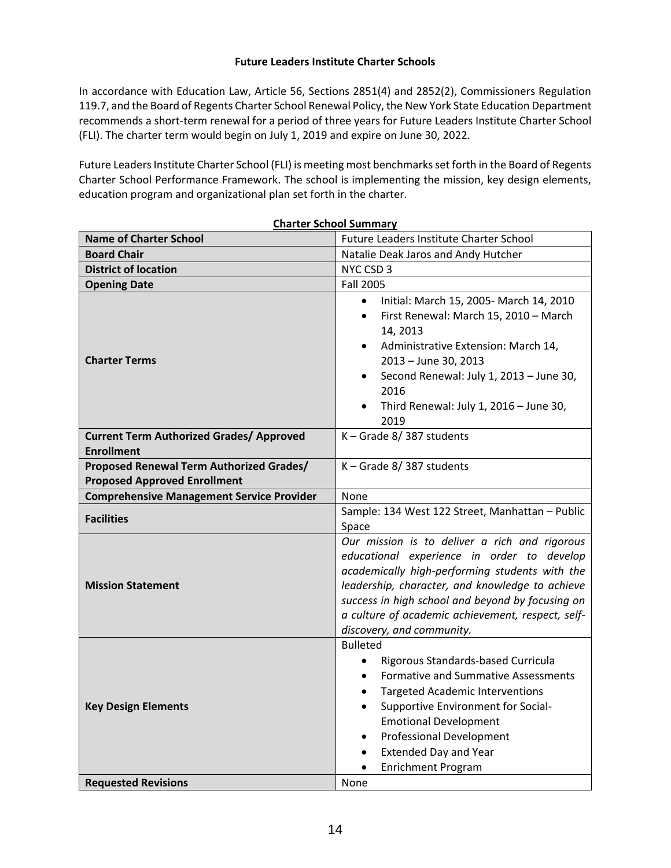#### **Future Leaders Institute Charter Schools**

In accordance with Education Law, Article 56, Sections 2851(4) and 2852(2), Commissioners Regulation 119.7, and the Board of Regents Charter School Renewal Policy, the New York State Education Department recommends a short-term renewal for a period of three years for Future Leaders Institute Charter School (FLI). The charter term would begin on July 1, 2019 and expire on June 30, 2022.

Future Leaders Institute Charter School (FLI) is meeting most benchmarks set forth in the Board of Regents Charter School Performance Framework. The school is implementing the mission, key design elements, education program and organizational plan set forth in the charter.

|                                                                      | <b>Charter School Summary</b>                                                                                                                                                                                                                                                                                                                                                                     |  |  |  |  |  |  |  |
|----------------------------------------------------------------------|---------------------------------------------------------------------------------------------------------------------------------------------------------------------------------------------------------------------------------------------------------------------------------------------------------------------------------------------------------------------------------------------------|--|--|--|--|--|--|--|
| <b>Name of Charter School</b>                                        | Future Leaders Institute Charter School                                                                                                                                                                                                                                                                                                                                                           |  |  |  |  |  |  |  |
| <b>Board Chair</b>                                                   | Natalie Deak Jaros and Andy Hutcher                                                                                                                                                                                                                                                                                                                                                               |  |  |  |  |  |  |  |
| <b>District of location</b>                                          | NYC CSD 3                                                                                                                                                                                                                                                                                                                                                                                         |  |  |  |  |  |  |  |
| <b>Opening Date</b>                                                  | <b>Fall 2005</b>                                                                                                                                                                                                                                                                                                                                                                                  |  |  |  |  |  |  |  |
| <b>Charter Terms</b>                                                 | Initial: March 15, 2005- March 14, 2010<br>$\bullet$<br>First Renewal: March 15, 2010 - March<br>$\bullet$<br>14, 2013<br>Administrative Extension: March 14,<br>2013 - June 30, 2013<br>Second Renewal: July 1, 2013 - June 30,<br>$\bullet$<br>2016<br>Third Renewal: July 1, 2016 - June 30,<br>2019                                                                                           |  |  |  |  |  |  |  |
| <b>Current Term Authorized Grades/ Approved</b><br><b>Enrollment</b> | K-Grade 8/387 students                                                                                                                                                                                                                                                                                                                                                                            |  |  |  |  |  |  |  |
| Proposed Renewal Term Authorized Grades/                             | K-Grade 8/387 students                                                                                                                                                                                                                                                                                                                                                                            |  |  |  |  |  |  |  |
| <b>Proposed Approved Enrollment</b>                                  |                                                                                                                                                                                                                                                                                                                                                                                                   |  |  |  |  |  |  |  |
| <b>Comprehensive Management Service Provider</b>                     | None                                                                                                                                                                                                                                                                                                                                                                                              |  |  |  |  |  |  |  |
| <b>Facilities</b>                                                    | Sample: 134 West 122 Street, Manhattan - Public<br>Space                                                                                                                                                                                                                                                                                                                                          |  |  |  |  |  |  |  |
| <b>Mission Statement</b>                                             | Our mission is to deliver a rich and rigorous<br>educational experience in order to develop<br>academically high-performing students with the<br>leadership, character, and knowledge to achieve<br>success in high school and beyond by focusing on<br>a culture of academic achievement, respect, self-<br>discovery, and community.                                                            |  |  |  |  |  |  |  |
| <b>Key Design Elements</b>                                           | <b>Bulleted</b><br>Rigorous Standards-based Curricula<br>$\bullet$<br><b>Formative and Summative Assessments</b><br>$\bullet$<br><b>Targeted Academic Interventions</b><br>$\bullet$<br>Supportive Environment for Social-<br>$\bullet$<br><b>Emotional Development</b><br><b>Professional Development</b><br>$\bullet$<br><b>Extended Day and Year</b><br>$\bullet$<br><b>Enrichment Program</b> |  |  |  |  |  |  |  |
| <b>Requested Revisions</b>                                           | None                                                                                                                                                                                                                                                                                                                                                                                              |  |  |  |  |  |  |  |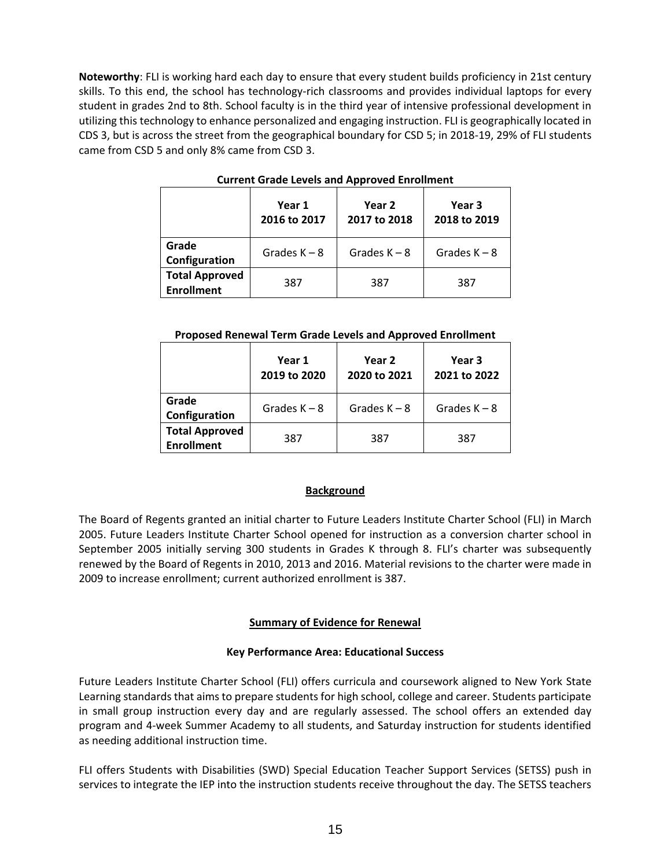**Noteworthy**: FLI is working hard each day to ensure that every student builds proficiency in 21st century skills. To this end, the school has technology-rich classrooms and provides individual laptops for every student in grades 2nd to 8th. School faculty is in the third year of intensive professional development in utilizing this technology to enhance personalized and engaging instruction. FLI is geographically located in CDS 3, but is across the street from the geographical boundary for CSD 5; in 2018-19, 29% of FLI students came from CSD 5 and only 8% came from CSD 3.

|                                            | Year 1<br>2016 to 2017 | Year 2<br>2017 to 2018 | Year 3<br>2018 to 2019 |
|--------------------------------------------|------------------------|------------------------|------------------------|
| Grade<br>Configuration                     | Grades $K - 8$         | Grades $K - 8$         | Grades $K - 8$         |
| <b>Total Approved</b><br><b>Enrollment</b> | 387                    | 387                    | 387                    |

#### **Current Grade Levels and Approved Enrollment**

#### **Proposed Renewal Term Grade Levels and Approved Enrollment**

|                                            | Year 1<br>2019 to 2020 | Year 2<br>2020 to 2021 | Year 3<br>2021 to 2022 |  |
|--------------------------------------------|------------------------|------------------------|------------------------|--|
| Grade<br>Configuration                     | Grades $K - 8$         | Grades $K - 8$         | Grades $K - 8$         |  |
| <b>Total Approved</b><br><b>Enrollment</b> | 387                    | 387                    | 387                    |  |

#### **Background**

The Board of Regents granted an initial charter to Future Leaders Institute Charter School (FLI) in March 2005. Future Leaders Institute Charter School opened for instruction as a conversion charter school in September 2005 initially serving 300 students in Grades K through 8. FLI's charter was subsequently renewed by the Board of Regents in 2010, 2013 and 2016. Material revisions to the charter were made in 2009 to increase enrollment; current authorized enrollment is 387.

#### **Summary of Evidence for Renewal**

#### **Key Performance Area: Educational Success**

Future Leaders Institute Charter School (FLI) offers curricula and coursework aligned to New York State Learning standards that aims to prepare students for high school, college and career. Students participate in small group instruction every day and are regularly assessed. The school offers an extended day program and 4-week Summer Academy to all students, and Saturday instruction for students identified as needing additional instruction time.

FLI offers Students with Disabilities (SWD) Special Education Teacher Support Services (SETSS) push in services to integrate the IEP into the instruction students receive throughout the day. The SETSS teachers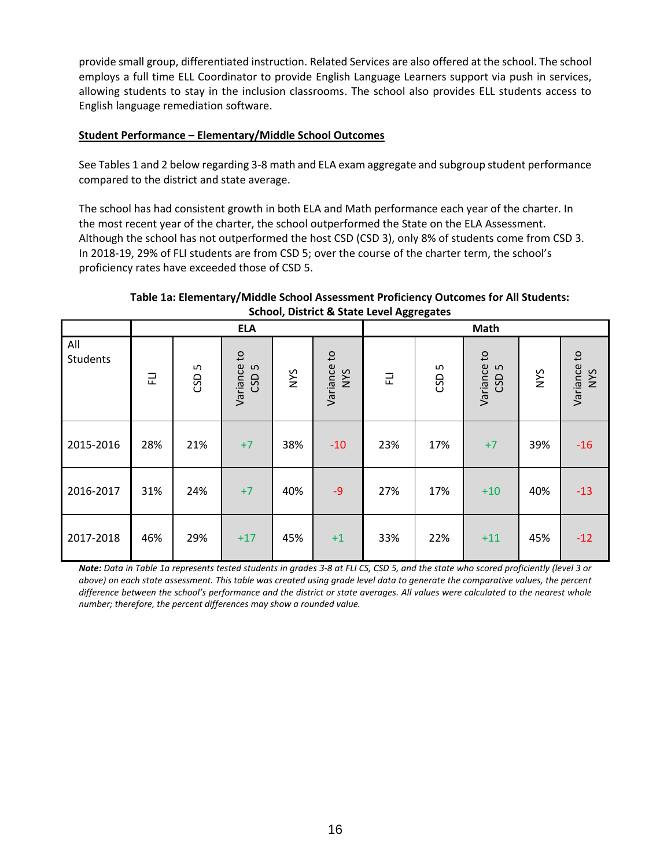provide small group, differentiated instruction. Related Services are also offered at the school. The school employs a full time ELL Coordinator to provide English Language Learners support via push in services, allowing students to stay in the inclusion classrooms. The school also provides ELL students access to English language remediation software.

#### **Student Performance – Elementary/Middle School Outcomes**

See Tables 1 and 2 below regarding 3-8 math and ELA exam aggregate and subgroup student performance compared to the district and state average.

The school has had consistent growth in both ELA and Math performance each year of the charter. In the most recent year of the charter, the school outperformed the State on the ELA Assessment. Although the school has not outperformed the host CSD (CSD 3), only 8% of students come from CSD 3. In 2018-19, 29% of FLI students are from CSD 5; over the course of the charter term, the school's proficiency rates have exceeded those of CSD 5.

#### **Table 1a: Elementary/Middle School Assessment Proficiency Outcomes for All Students: School, District & State Level Aggregates**

|                 |     |          | <b>ELA</b>                      |     |                    | -00- -0- -- -<br>Math |          |                                 |     |                    |
|-----------------|-----|----------|---------------------------------|-----|--------------------|-----------------------|----------|---------------------------------|-----|--------------------|
| All<br>Students | 군   | S<br>CSD | Variance to<br>CSD <sub>5</sub> | NYS | Variance to<br>NVS | 군                     | S<br>CSD | Variance to<br>CSD <sub>5</sub> | NYS | Variance to<br>NVS |
| 2015-2016       | 28% | 21%      | $+7$                            | 38% | $-10$              | 23%                   | 17%      | $+7$                            | 39% | $-16$              |
| 2016-2017       | 31% | 24%      | $+7$                            | 40% | $-9$               | 27%                   | 17%      | $+10$                           | 40% | $-13$              |
| 2017-2018       | 46% | 29%      | $+17$                           | 45% | $+1$               | 33%                   | 22%      | $+11$                           | 45% | $-12$              |

*Note: Data in Table 1a represents tested students in grades 3-8 at FLI CS, CSD 5, and the state who scored proficiently (level 3 or above) on each state assessment. This table was created using grade level data to generate the comparative values, the percent difference between the school's performance and the district or state averages. All values were calculated to the nearest whole number; therefore, the percent differences may show a rounded value.*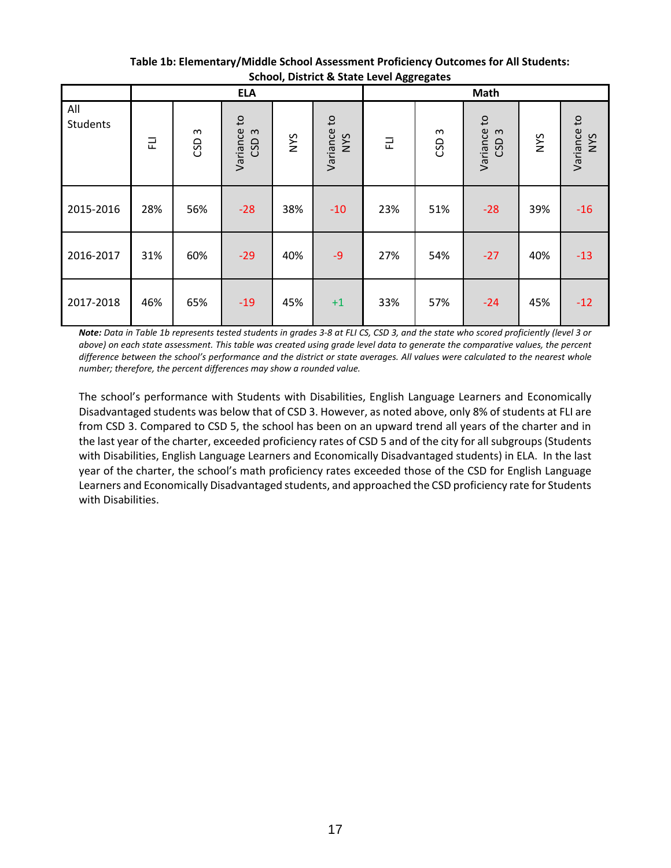|                 |     |               | <b>ELA</b>                      |     |                    | Math |                  |                                    |     |                           |
|-----------------|-----|---------------|---------------------------------|-----|--------------------|------|------------------|------------------------------------|-----|---------------------------|
| All<br>Students | 군   | $\sim$<br>GSD | Variance to<br>CSD <sub>3</sub> | NYS | Variance to<br>NYS | 군    | CSD <sub>3</sub> | Variance to<br>$\mathsf{S}$<br>CSD | NYS | Variance to<br><b>NYS</b> |
| 2015-2016       | 28% | 56%           | $-28$                           | 38% | $-10$              | 23%  | 51%              | $-28$                              | 39% | $-16$                     |
| 2016-2017       | 31% | 60%           | $-29$                           | 40% | $-9$               | 27%  | 54%              | $-27$                              | 40% | $-13$                     |
| 2017-2018       | 46% | 65%           | $-19$                           | 45% | $+1$               | 33%  | 57%              | $-24$                              | 45% | $-12$                     |

**Table 1b: Elementary/Middle School Assessment Proficiency Outcomes for All Students: School, District & State Level Aggregates**

*Note: Data in Table 1b represents tested students in grades 3-8 at FLI CS, CSD 3, and the state who scored proficiently (level 3 or above) on each state assessment. This table was created using grade level data to generate the comparative values, the percent difference between the school's performance and the district or state averages. All values were calculated to the nearest whole number; therefore, the percent differences may show a rounded value.*

The school's performance with Students with Disabilities, English Language Learners and Economically Disadvantaged students was below that of CSD 3. However, as noted above, only 8% of students at FLI are from CSD 3. Compared to CSD 5, the school has been on an upward trend all years of the charter and in the last year of the charter, exceeded proficiency rates of CSD 5 and of the city for all subgroups (Students with Disabilities, English Language Learners and Economically Disadvantaged students) in ELA. In the last year of the charter, the school's math proficiency rates exceeded those of the CSD for English Language Learners and Economically Disadvantaged students, and approached the CSD proficiency rate for Students with Disabilities.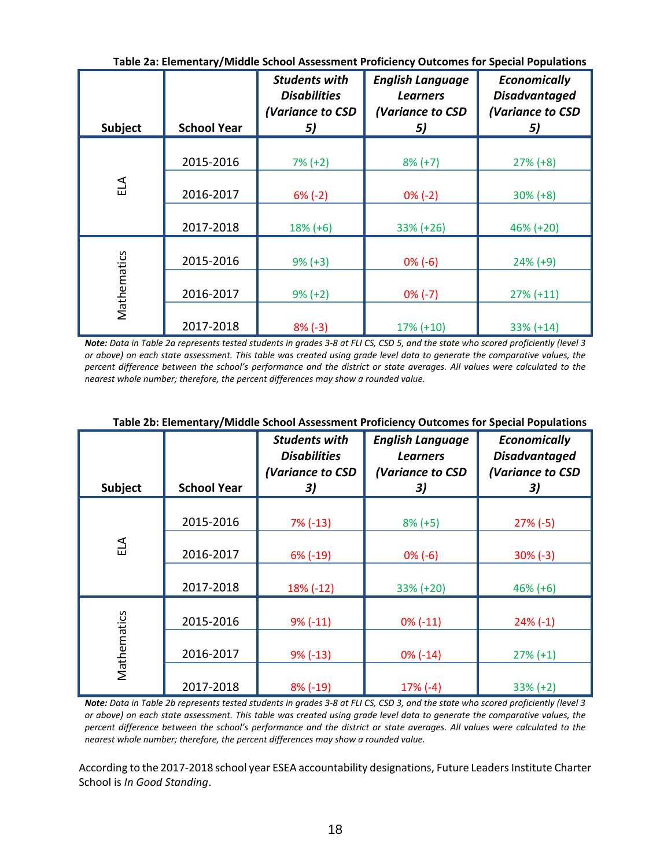|             |                    |                                                                       | Table Za. Lienientaly/ Milutile School Assessment Fronciency Outcomes for Special Fopulations |                                                                       |
|-------------|--------------------|-----------------------------------------------------------------------|-----------------------------------------------------------------------------------------------|-----------------------------------------------------------------------|
| Subject     | <b>School Year</b> | <b>Students with</b><br><b>Disabilities</b><br>(Variance to CSD<br>5) | <b>English Language</b><br><b>Learners</b><br>(Variance to CSD<br>5)                          | <b>Economically</b><br><b>Disadvantaged</b><br>(Variance to CSD<br>5) |
|             |                    |                                                                       |                                                                                               |                                                                       |
|             | 2015-2016          | $7\% (+2)$                                                            | $8\% (+7)$                                                                                    | $27\% (+8)$                                                           |
| ELA         | 2016-2017          | $6% (-2)$                                                             | $0\% (-2)$                                                                                    | $30\% (+8)$                                                           |
|             | 2017-2018          | $18% (+6)$                                                            | 33% (+26)                                                                                     | 46% (+20)                                                             |
|             | 2015-2016          | $9\% (+3)$                                                            | $0\%$ (-6)                                                                                    | $24\% (+9)$                                                           |
| Mathematics | 2016-2017          | $9\% (+2)$                                                            | $0\% (-7)$                                                                                    | $27\% (+11)$                                                          |
|             | 2017-2018          | $8\%$ (-3)                                                            | $17\% (+10)$                                                                                  | $33\% (+14)$                                                          |

**Table 2a: Elementary/Middle School Assessment Proficiency Outcomes for Special Populations**

*Note: Data in Table 2a represents tested students in grades 3-8 at FLI CS, CSD 5, and the state who scored proficiently (level 3 or above) on each state assessment. This table was created using grade level data to generate the comparative values, the percent difference between the school's performance and the district or state averages. All values were calculated to the nearest whole number; therefore, the percent differences may show a rounded value.*

| <b>Subject</b> | <b>School Year</b> | <b>Students with</b><br><b>Disabilities</b><br>(Variance to CSD<br>3) | <b>English Language</b><br><b>Learners</b><br>(Variance to CSD<br>3) | <b>Economically</b><br><b>Disadvantaged</b><br>(Variance to CSD<br>3) |
|----------------|--------------------|-----------------------------------------------------------------------|----------------------------------------------------------------------|-----------------------------------------------------------------------|
|                | 2015-2016          | $7\%$ (-13)                                                           | $8% (+5)$                                                            | $27\% (-5)$                                                           |
| ELA            | 2016-2017          | $6\%$ (-19)                                                           | $0\%$ (-6)                                                           | $30\%$ (-3)                                                           |
|                | 2017-2018          | $18\%$ (-12)                                                          | 33% (+20)                                                            | $46\% (+6)$                                                           |
|                | 2015-2016          | $9% (-11)$                                                            | $0\% (-11)$                                                          | $24\% (-1)$                                                           |
| Mathematics    | 2016-2017          | $9\%$ (-13)                                                           | $0\%$ (-14)                                                          | $27\% (+1)$                                                           |
|                | 2017-2018          | 8% (-19)                                                              | $17% (-4)$                                                           | $33% (+2)$                                                            |

## **Table 2b: Elementary/Middle School Assessment Proficiency Outcomes for Special Populations**

*Note: Data in Table 2b represents tested students in grades 3-8 at FLI CS, CSD 3, and the state who scored proficiently (level 3 or above) on each state assessment. This table was created using grade level data to generate the comparative values, the percent difference between the school's performance and the district or state averages. All values were calculated to the nearest whole number; therefore, the percent differences may show a rounded value.*

According to the 2017-2018 school year ESEA accountability designations, Future Leaders Institute Charter School is *In Good Standing*.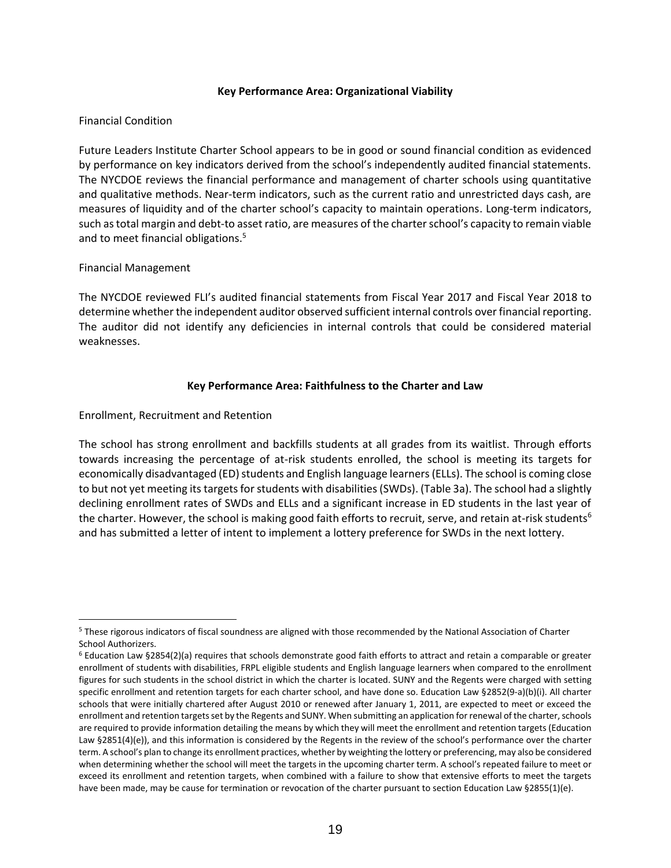#### **Key Performance Area: Organizational Viability**

#### Financial Condition

Future Leaders Institute Charter School appears to be in good or sound financial condition as evidenced by performance on key indicators derived from the school's independently audited financial statements. The NYCDOE reviews the financial performance and management of charter schools using quantitative and qualitative methods. Near-term indicators, such as the current ratio and unrestricted days cash, are measures of liquidity and of the charter school's capacity to maintain operations. Long‐term indicators, such as total margin and debt‐to asset ratio, are measures of the charter school's capacity to remain viable and to meet financial obligations.<sup>5</sup>

#### Financial Management

The NYCDOE reviewed FLI's audited financial statements from Fiscal Year 2017 and Fiscal Year 2018 to determine whether the independent auditor observed sufficient internal controls over financial reporting. The auditor did not identify any deficiencies in internal controls that could be considered material weaknesses.

#### **Key Performance Area: Faithfulness to the Charter and Law**

Enrollment, Recruitment and Retention

The school has strong enrollment and backfills students at all grades from its waitlist. Through efforts towards increasing the percentage of at-risk students enrolled, the school is meeting its targets for economically disadvantaged (ED) students and English language learners (ELLs). The school is coming close to but not yet meeting its targets for students with disabilities (SWDs). (Table 3a). The school had a slightly declining enrollment rates of SWDs and ELLs and a significant increase in ED students in the last year of the charter. However, the school is making good faith efforts to recruit, serve, and retain at-risk students<sup>6</sup> and has submitted a letter of intent to implement a lottery preference for SWDs in the next lottery.

 $\overline{a}$ <sup>5</sup> These rigorous indicators of fiscal soundness are aligned with those recommended by the National Association of Charter School Authorizers.

<sup>6</sup> Education Law §2854(2)(a) requires that schools demonstrate good faith efforts to attract and retain a comparable or greater enrollment of students with disabilities, FRPL eligible students and English language learners when compared to the enrollment figures for such students in the school district in which the charter is located. SUNY and the Regents were charged with setting specific enrollment and retention targets for each charter school, and have done so. Education Law §2852(9-a)(b)(i). All charter schools that were initially chartered after August 2010 or renewed after January 1, 2011, are expected to meet or exceed the enrollment and retention targets set by the Regents and SUNY. When submitting an application for renewal of the charter, schools are required to provide information detailing the means by which they will meet the enrollment and retention targets (Education Law §2851(4)(e)), and this information is considered by the Regents in the review of the school's performance over the charter term. A school's plan to change its enrollment practices, whether by weighting the lottery or preferencing, may also be considered when determining whether the school will meet the targets in the upcoming charter term. A school's repeated failure to meet or exceed its enrollment and retention targets, when combined with a failure to show that extensive efforts to meet the targets have been made, may be cause for termination or revocation of the charter pursuant to section Education Law §2855(1)(e).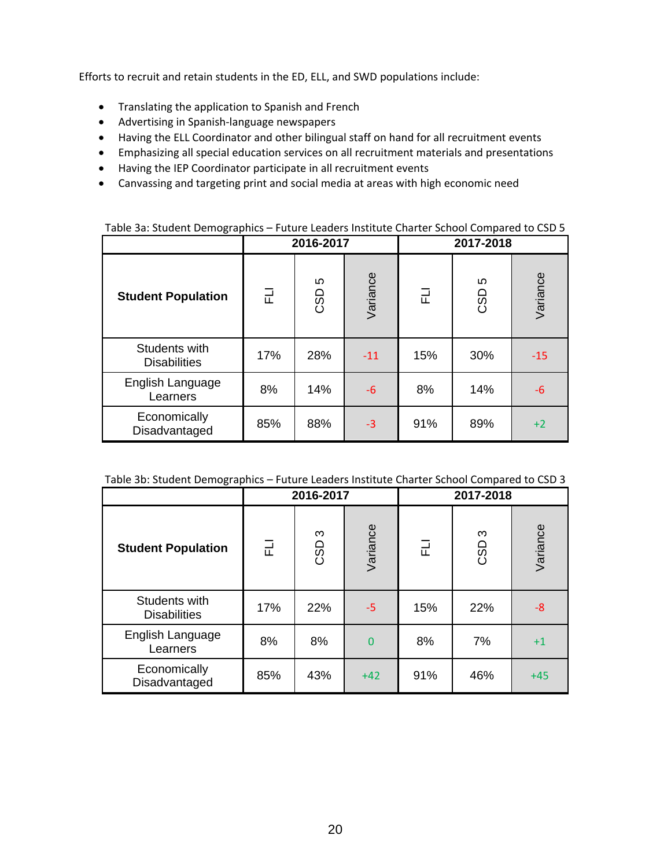Efforts to recruit and retain students in the ED, ELL, and SWD populations include:

- Translating the application to Spanish and French
- Advertising in Spanish-language newspapers
- Having the ELL Coordinator and other bilingual staff on hand for all recruitment events
- Emphasizing all special education services on all recruitment materials and presentations
- Having the IEP Coordinator participate in all recruitment events
- Canvassing and targeting print and social media at areas with high economic need

|                                      |     | 2016-2017 |          | 2017-2018 |          |          |  |
|--------------------------------------|-----|-----------|----------|-----------|----------|----------|--|
| <b>Student Population</b>            | 근   | Ю<br>CSD  | Variance | 군         | Ю<br>CSD | Variance |  |
| Students with<br><b>Disabilities</b> | 17% | 28%       | $-11$    | 15%       | 30%      | $-15$    |  |
| English Language<br>Learners         | 8%  | 14%       | $-6$     | 8%        | 14%      | $-6$     |  |
| Economically<br>Disadvantaged        | 85% | 88%       | $-3$     | 91%       | 89%      | $+2$     |  |

#### Table 3a: Student Demographics – Future Leaders Institute Charter School Compared to CSD 5

|                                      | 2016-2017 |          |                | 2017-2018 |          |          |  |
|--------------------------------------|-----------|----------|----------------|-----------|----------|----------|--|
| <b>Student Population</b>            | 긊         | ო<br>CSD | Variance       | 군         | ო<br>CSD | Variance |  |
| Students with<br><b>Disabilities</b> | 17%       | 22%      | $-5$           | 15%       | 22%      | $-8$     |  |
| English Language<br>Learners         | 8%        | 8%       | $\overline{0}$ | 8%        | 7%       | $+1$     |  |
| Economically<br>Disadvantaged        | 85%       | 43%      | $+42$          | 91%       | 46%      | $+45$    |  |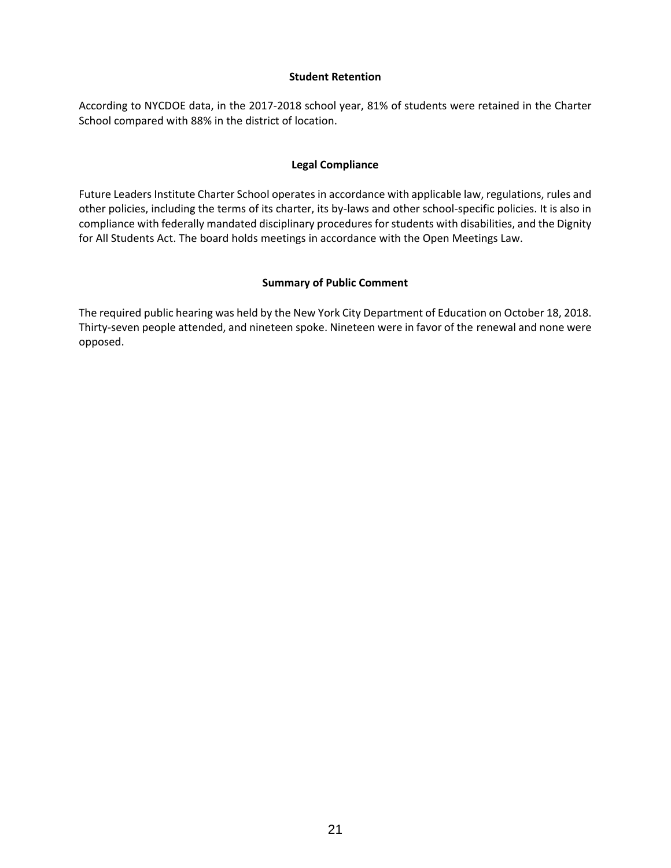#### **Student Retention**

According to NYCDOE data, in the 2017-2018 school year, 81% of students were retained in the Charter School compared with 88% in the district of location.

#### **Legal Compliance**

Future Leaders Institute Charter School operates in accordance with applicable law, regulations, rules and other policies, including the terms of its charter, its by-laws and other school-specific policies. It is also in compliance with federally mandated disciplinary procedures for students with disabilities, and the Dignity for All Students Act. The board holds meetings in accordance with the Open Meetings Law.

### **Summary of Public Comment**

The required public hearing was held by the New York City Department of Education on October 18, 2018. Thirty-seven people attended, and nineteen spoke. Nineteen were in favor of the renewal and none were opposed.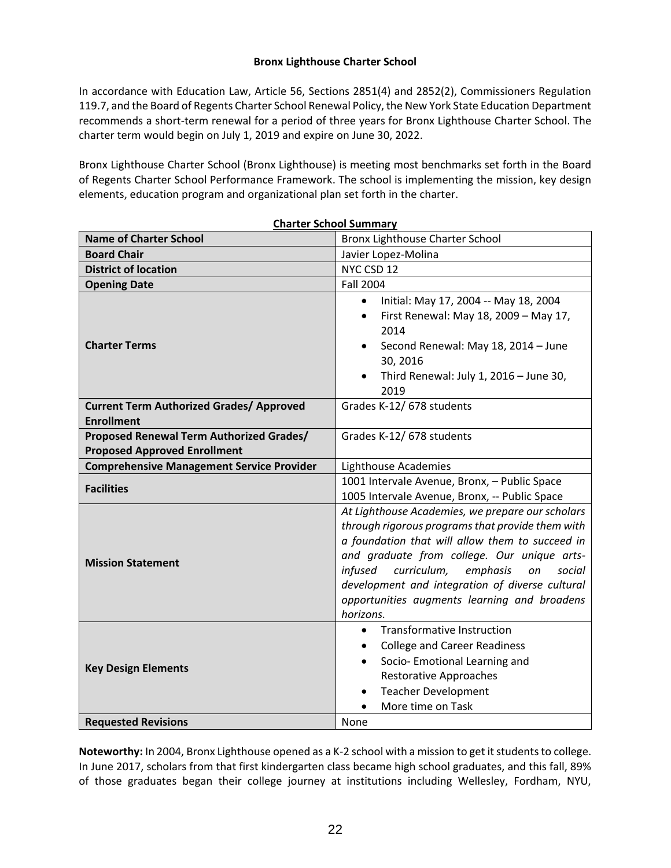#### **Bronx Lighthouse Charter School**

In accordance with Education Law, Article 56, Sections 2851(4) and 2852(2), Commissioners Regulation 119.7, and the Board of Regents Charter School Renewal Policy, the New York State Education Department recommends a short-term renewal for a period of three years for Bronx Lighthouse Charter School. The charter term would begin on July 1, 2019 and expire on June 30, 2022.

Bronx Lighthouse Charter School (Bronx Lighthouse) is meeting most benchmarks set forth in the Board of Regents Charter School Performance Framework. The school is implementing the mission, key design elements, education program and organizational plan set forth in the charter.

| <b>Charter School Summary</b>                                                   |                                                                                                                                                                                                                                                                                                                                                                              |  |  |  |  |
|---------------------------------------------------------------------------------|------------------------------------------------------------------------------------------------------------------------------------------------------------------------------------------------------------------------------------------------------------------------------------------------------------------------------------------------------------------------------|--|--|--|--|
| <b>Name of Charter School</b>                                                   | Bronx Lighthouse Charter School                                                                                                                                                                                                                                                                                                                                              |  |  |  |  |
| <b>Board Chair</b>                                                              | Javier Lopez-Molina                                                                                                                                                                                                                                                                                                                                                          |  |  |  |  |
| <b>District of location</b>                                                     | NYC CSD 12                                                                                                                                                                                                                                                                                                                                                                   |  |  |  |  |
| <b>Opening Date</b>                                                             | <b>Fall 2004</b>                                                                                                                                                                                                                                                                                                                                                             |  |  |  |  |
| <b>Charter Terms</b>                                                            | Initial: May 17, 2004 -- May 18, 2004<br>$\bullet$<br>First Renewal: May 18, 2009 - May 17,<br>$\bullet$<br>2014<br>Second Renewal: May 18, 2014 - June<br>$\bullet$<br>30, 2016<br>Third Renewal: July 1, 2016 - June 30,<br>2019                                                                                                                                           |  |  |  |  |
| <b>Current Term Authorized Grades/ Approved</b><br><b>Enrollment</b>            | Grades K-12/678 students                                                                                                                                                                                                                                                                                                                                                     |  |  |  |  |
| Proposed Renewal Term Authorized Grades/<br><b>Proposed Approved Enrollment</b> | Grades K-12/678 students                                                                                                                                                                                                                                                                                                                                                     |  |  |  |  |
| <b>Comprehensive Management Service Provider</b>                                | Lighthouse Academies                                                                                                                                                                                                                                                                                                                                                         |  |  |  |  |
| <b>Facilities</b>                                                               | 1001 Intervale Avenue, Bronx, - Public Space<br>1005 Intervale Avenue, Bronx, -- Public Space                                                                                                                                                                                                                                                                                |  |  |  |  |
| <b>Mission Statement</b>                                                        | At Lighthouse Academies, we prepare our scholars<br>through rigorous programs that provide them with<br>a foundation that will allow them to succeed in<br>and graduate from college. Our unique arts-<br>infused<br>curriculum,<br>emphasis<br>on<br>social<br>development and integration of diverse cultural<br>opportunities augments learning and broadens<br>horizons. |  |  |  |  |
| <b>Key Design Elements</b>                                                      | <b>Transformative Instruction</b><br>$\bullet$<br><b>College and Career Readiness</b><br>$\bullet$<br>Socio- Emotional Learning and<br>$\bullet$<br><b>Restorative Approaches</b><br><b>Teacher Development</b><br>$\bullet$<br>More time on Task                                                                                                                            |  |  |  |  |
| <b>Requested Revisions</b>                                                      | None                                                                                                                                                                                                                                                                                                                                                                         |  |  |  |  |

**Noteworthy:** In 2004, Bronx Lighthouse opened as a K-2 school with a mission to get it students to college. In June 2017, scholars from that first kindergarten class became high school graduates, and this fall, 89% of those graduates began their college journey at institutions including Wellesley, Fordham, NYU,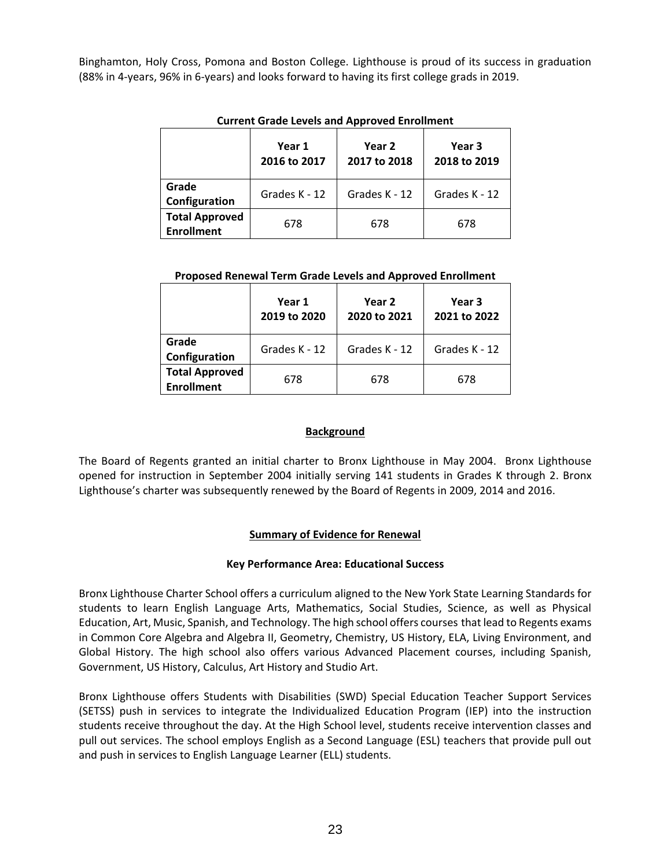Binghamton, Holy Cross, Pomona and Boston College. Lighthouse is proud of its success in graduation (88% in 4-years, 96% in 6-years) and looks forward to having its first college grads in 2019.

|                                            | Year 1<br>2016 to 2017 | Year 2<br>2017 to 2018 | Year 3<br>2018 to 2019 |  |
|--------------------------------------------|------------------------|------------------------|------------------------|--|
| Grade<br>Configuration                     | Grades K - 12          | Grades K - 12          | Grades K - 12          |  |
| <b>Total Approved</b><br><b>Enrollment</b> | 678                    | 678                    | 678                    |  |

#### **Current Grade Levels and Approved Enrollment**

### **Proposed Renewal Term Grade Levels and Approved Enrollment**

|                                            | Year 1<br>2019 to 2020 | Year 2<br>2020 to 2021 | Year 3<br>2021 to 2022 |
|--------------------------------------------|------------------------|------------------------|------------------------|
| Grade<br>Configuration                     | Grades K - 12          | Grades K - 12          | Grades K - 12          |
| <b>Total Approved</b><br><b>Enrollment</b> | 678                    | 678                    | 678                    |

## **Background**

The Board of Regents granted an initial charter to Bronx Lighthouse in May 2004. Bronx Lighthouse opened for instruction in September 2004 initially serving 141 students in Grades K through 2. Bronx Lighthouse's charter was subsequently renewed by the Board of Regents in 2009, 2014 and 2016.

## **Summary of Evidence for Renewal**

#### **Key Performance Area: Educational Success**

Bronx Lighthouse Charter School offers a curriculum aligned to the New York State Learning Standards for students to learn English Language Arts, Mathematics, Social Studies, Science, as well as Physical Education, Art, Music, Spanish, and Technology. The high school offers courses that lead to Regents exams in Common Core Algebra and Algebra II, Geometry, Chemistry, US History, ELA, Living Environment, and Global History. The high school also offers various Advanced Placement courses, including Spanish, Government, US History, Calculus, Art History and Studio Art.

Bronx Lighthouse offers Students with Disabilities (SWD) Special Education Teacher Support Services (SETSS) push in services to integrate the Individualized Education Program (IEP) into the instruction students receive throughout the day. At the High School level, students receive intervention classes and pull out services. The school employs English as a Second Language (ESL) teachers that provide pull out and push in services to English Language Learner (ELL) students.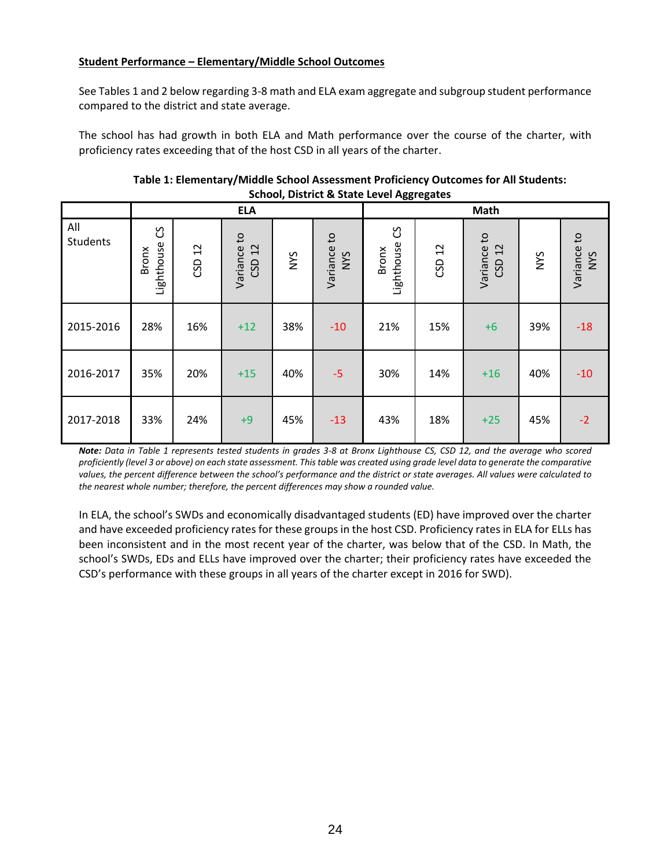### **Student Performance – Elementary/Middle School Outcomes**

See Tables 1 and 2 below regarding 3-8 math and ELA exam aggregate and subgroup student performance compared to the district and state average.

The school has had growth in both ELA and Math performance over the course of the charter, with proficiency rates exceeding that of the host CSD in all years of the charter.

|                 |                                 |           |                       |     |                           |                          | -oo- -o-- |                       |     |                    |
|-----------------|---------------------------------|-----------|-----------------------|-----|---------------------------|--------------------------|-----------|-----------------------|-----|--------------------|
|                 |                                 |           | <b>ELA</b>            |     |                           | Math                     |           |                       |     |                    |
| All<br>Students | უ<br>Lighthouse<br><b>Bronx</b> | 12<br>CSD | Variance to<br>CSD 12 | NYS | Variance to<br><b>NYS</b> | უ<br>Lighthouse<br>Bronx | CSD 12    | Variance to<br>CSD 12 | NYS | Variance to<br>NYS |
| 2015-2016       | 28%                             | 16%       | $+12$                 | 38% | $-10$                     | 21%                      | 15%       | $+6$                  | 39% | $-18$              |
| 2016-2017       | 35%                             | 20%       | $+15$                 | 40% | $-5$                      | 30%                      | 14%       | $+16$                 | 40% | $-10$              |
| 2017-2018       | 33%                             | 24%       | $+9$                  | 45% | $-13$                     | 43%                      | 18%       | $+25$                 | 45% | $-2$               |

#### **Table 1: Elementary/Middle School Assessment Proficiency Outcomes for All Students: School, District & State Level Aggregates**

*Note: Data in Table 1 represents tested students in grades 3-8 at Bronx Lighthouse CS, CSD 12, and the average who scored proficiently (level 3 or above) on each state assessment. This table was created using grade level data to generate the comparative values, the percent difference between the school's performance and the district or state averages. All values were calculated to the nearest whole number; therefore, the percent differences may show a rounded value.*

In ELA, the school's SWDs and economically disadvantaged students (ED) have improved over the charter and have exceeded proficiency rates for these groups in the host CSD. Proficiency rates in ELA for ELLs has been inconsistent and in the most recent year of the charter, was below that of the CSD. In Math, the school's SWDs, EDs and ELLs have improved over the charter; their proficiency rates have exceeded the CSD's performance with these groups in all years of the charter except in 2016 for SWD).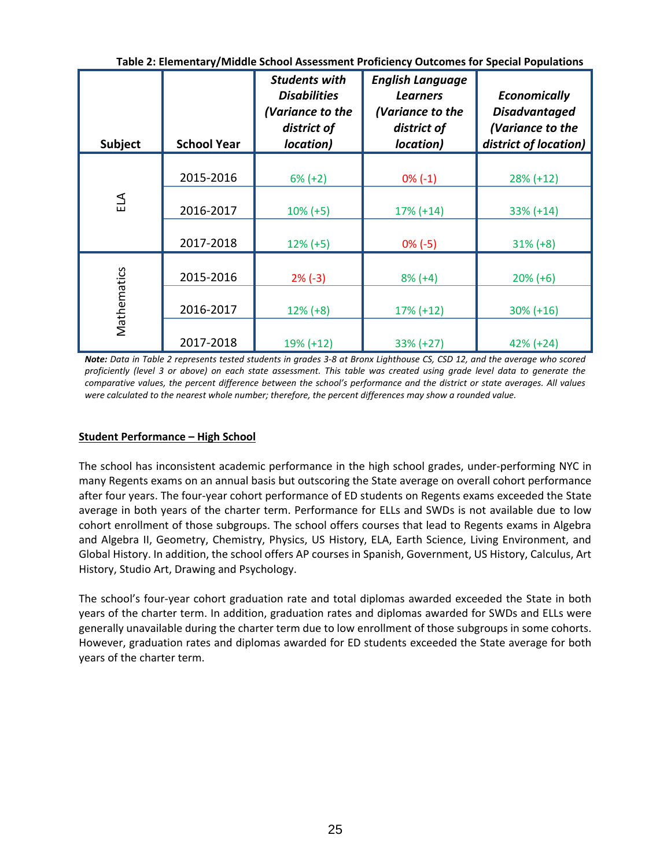| <b>Subject</b> | <b>School Year</b> | <b>Students with</b><br><b>Disabilities</b><br>(Variance to the<br>district of<br>location) | <b>English Language</b><br><b>Learners</b><br>(Variance to the<br>district of<br>location) | <b>Economically</b><br><b>Disadvantaged</b><br>(Variance to the<br>district of location) |
|----------------|--------------------|---------------------------------------------------------------------------------------------|--------------------------------------------------------------------------------------------|------------------------------------------------------------------------------------------|
|                | 2015-2016          | $6\% (+2)$                                                                                  | $0\%$ (-1)                                                                                 | $28\% (+12)$                                                                             |
| ELA            | 2016-2017          | $10\% (+5)$                                                                                 | $17\% (+14)$                                                                               | $33\% (+14)$                                                                             |
|                | 2017-2018          | $12\% (+5)$                                                                                 | $0\% (-5)$                                                                                 | $31\% (+8)$                                                                              |
|                | 2015-2016          | $2\% (-3)$                                                                                  | $8% (+4)$                                                                                  | $20\% (+6)$                                                                              |
| Mathematics    | 2016-2017          | $12\% (+8)$                                                                                 | $17\% (+12)$                                                                               | $30\% (+16)$                                                                             |
|                | 2017-2018          | 19% (+12)                                                                                   | 33% (+27)                                                                                  | $42\% (+24)$                                                                             |

**Table 2: Elementary/Middle School Assessment Proficiency Outcomes for Special Populations**

*Note: Data in Table 2 represents tested students in grades 3-8 at Bronx Lighthouse CS, CSD 12, and the average who scored proficiently (level 3 or above) on each state assessment. This table was created using grade level data to generate the comparative values, the percent difference between the school's performance and the district or state averages. All values were calculated to the nearest whole number; therefore, the percent differences may show a rounded value.*

### **Student Performance – High School**

The school has inconsistent academic performance in the high school grades, under-performing NYC in many Regents exams on an annual basis but outscoring the State average on overall cohort performance after four years. The four-year cohort performance of ED students on Regents exams exceeded the State average in both years of the charter term. Performance for ELLs and SWDs is not available due to low cohort enrollment of those subgroups. The school offers courses that lead to Regents exams in Algebra and Algebra II, Geometry, Chemistry, Physics, US History, ELA, Earth Science, Living Environment, and Global History. In addition, the school offers AP courses in Spanish, Government, US History, Calculus, Art History, Studio Art, Drawing and Psychology.

The school's four-year cohort graduation rate and total diplomas awarded exceeded the State in both years of the charter term. In addition, graduation rates and diplomas awarded for SWDs and ELLs were generally unavailable during the charter term due to low enrollment of those subgroups in some cohorts. However, graduation rates and diplomas awarded for ED students exceeded the State average for both years of the charter term.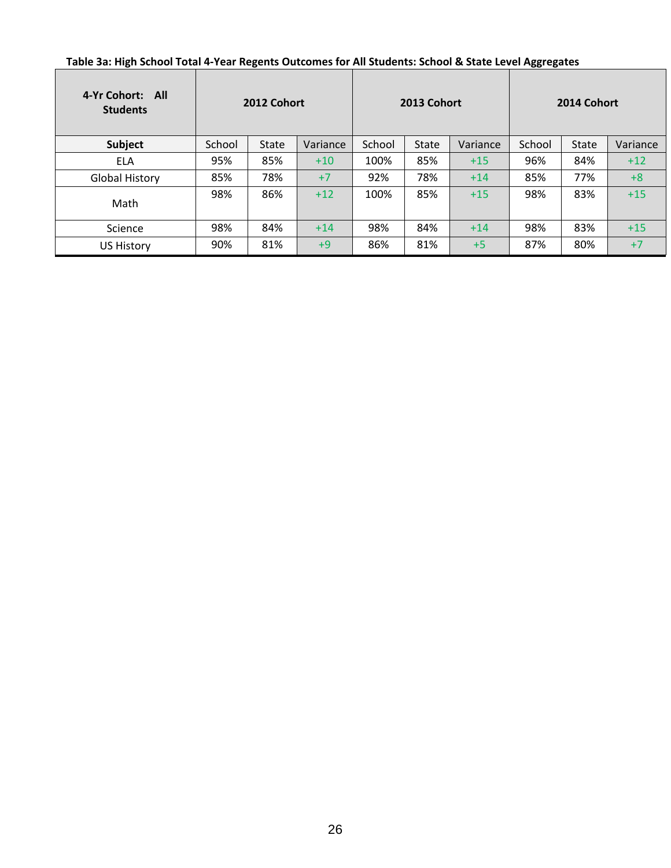| Table 3a: High School Total 4-Year Regents Outcomes for All Students: School & State Level Aggregates |  |  |  |
|-------------------------------------------------------------------------------------------------------|--|--|--|
|-------------------------------------------------------------------------------------------------------|--|--|--|

**r** 

| 4-Yr Cohort: All<br><b>Students</b> | 2012 Cohort |              |          | 2013 Cohort |              |          | 2014 Cohort |              |          |
|-------------------------------------|-------------|--------------|----------|-------------|--------------|----------|-------------|--------------|----------|
| Subject                             | School      | <b>State</b> | Variance | School      | <b>State</b> | Variance | School      | <b>State</b> | Variance |
| <b>ELA</b>                          | 95%         | 85%          | $+10$    | 100%        | 85%          | $+15$    | 96%         | 84%          | $+12$    |
| <b>Global History</b>               | 85%         | 78%          | $+7$     | 92%         | 78%          | $+14$    | 85%         | 77%          | $+8$     |
| Math                                | 98%         | 86%          | $+12$    | 100%        | 85%          | $+15$    | 98%         | 83%          | $+15$    |
| Science                             | 98%         | 84%          | $+14$    | 98%         | 84%          | $+14$    | 98%         | 83%          | $+15$    |
| <b>US History</b>                   | 90%         | 81%          | $+9$     | 86%         | 81%          | $+5$     | 87%         | 80%          | $+7$     |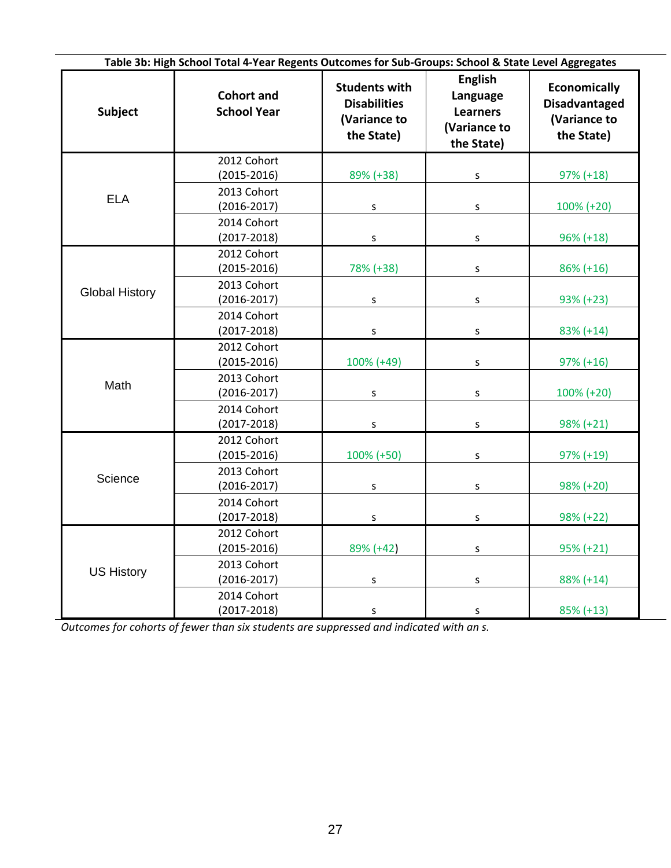| Table 3b: High School Total 4-Year Regents Outcomes for Sub-Groups: School & State Level Aggregates |                                         |                                                                           |                                                                             |                                                                           |  |  |  |  |  |
|-----------------------------------------------------------------------------------------------------|-----------------------------------------|---------------------------------------------------------------------------|-----------------------------------------------------------------------------|---------------------------------------------------------------------------|--|--|--|--|--|
| Subject                                                                                             | <b>Cohort and</b><br><b>School Year</b> | <b>Students with</b><br><b>Disabilities</b><br>(Variance to<br>the State) | <b>English</b><br>Language<br><b>Learners</b><br>(Variance to<br>the State) | <b>Economically</b><br><b>Disadvantaged</b><br>(Variance to<br>the State) |  |  |  |  |  |
|                                                                                                     | 2012 Cohort<br>$(2015 - 2016)$          | 89% (+38)                                                                 | $\sf S$                                                                     | $97\% (+18)$                                                              |  |  |  |  |  |
| <b>ELA</b>                                                                                          | 2013 Cohort<br>$(2016 - 2017)$          | S                                                                         | S                                                                           | $100\% (+20)$                                                             |  |  |  |  |  |
|                                                                                                     | 2014 Cohort<br>$(2017 - 2018)$          | S                                                                         | $\sf S$                                                                     | $96\% (+18)$                                                              |  |  |  |  |  |
|                                                                                                     | 2012 Cohort<br>$(2015 - 2016)$          | 78% (+38)                                                                 | S                                                                           | $86\% (+16)$                                                              |  |  |  |  |  |
| <b>Global History</b>                                                                               | 2013 Cohort<br>$(2016 - 2017)$          | S                                                                         | S                                                                           | 93% (+23)                                                                 |  |  |  |  |  |
|                                                                                                     | 2014 Cohort<br>$(2017 - 2018)$          | $\sf S$                                                                   | S                                                                           | $83\% (+14)$                                                              |  |  |  |  |  |
|                                                                                                     | 2012 Cohort<br>$(2015 - 2016)$          | 100% (+49)                                                                | S                                                                           | $97\% (+16)$                                                              |  |  |  |  |  |
| Math                                                                                                | 2013 Cohort<br>$(2016 - 2017)$          | S                                                                         | $\sf S$                                                                     | 100% (+20)                                                                |  |  |  |  |  |
|                                                                                                     | 2014 Cohort<br>$(2017 - 2018)$          | S                                                                         | $\sf S$                                                                     | $98\% (+21)$                                                              |  |  |  |  |  |
|                                                                                                     | 2012 Cohort<br>$(2015 - 2016)$          | 100% (+50)                                                                | S                                                                           | $97\% (+19)$                                                              |  |  |  |  |  |
| Science                                                                                             | 2013 Cohort<br>$(2016 - 2017)$          | S                                                                         | ${\sf S}$                                                                   | 98% (+20)                                                                 |  |  |  |  |  |
|                                                                                                     | 2014 Cohort<br>$(2017 - 2018)$          | S                                                                         | S                                                                           | 98% (+22)                                                                 |  |  |  |  |  |
|                                                                                                     | 2012 Cohort<br>$(2015 - 2016)$          | 89% (+42)                                                                 | S                                                                           | $95\% (+21)$                                                              |  |  |  |  |  |
| <b>US History</b>                                                                                   | 2013 Cohort<br>$(2016 - 2017)$          | S                                                                         | S                                                                           | 88% (+14)                                                                 |  |  |  |  |  |
|                                                                                                     | 2014 Cohort<br>$(2017 - 2018)$          | S                                                                         | $\sf S$                                                                     | $85\% (+13)$                                                              |  |  |  |  |  |

*Outcomes for cohorts of fewer than six students are suppressed and indicated with an s.*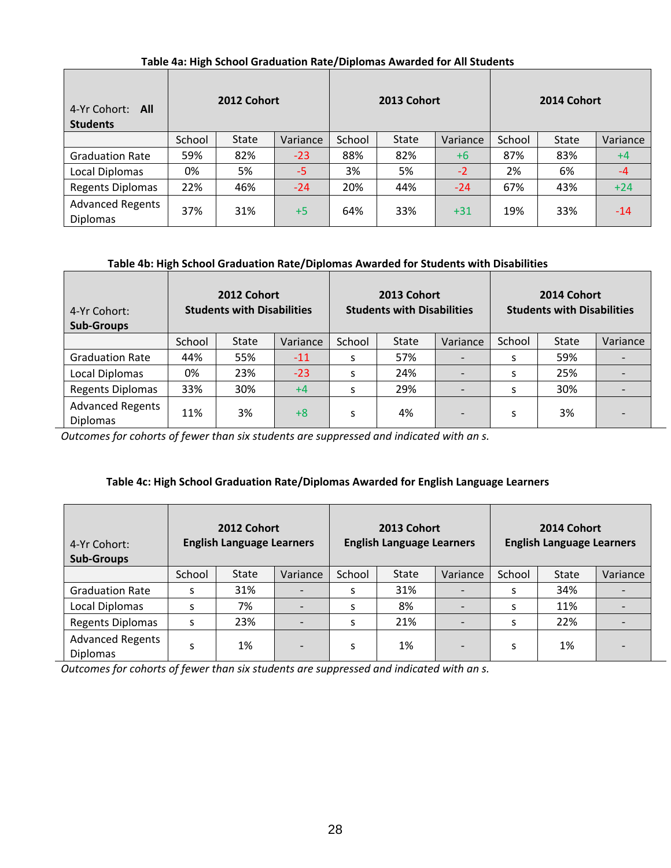## **Table 4a: High School Graduation Rate/Diplomas Awarded for All Students**

| 4-Yr Cohort:<br>All<br><b>Students</b>     | 2012 Cohort |              |          | 2013 Cohort |       |          | 2014 Cohort |              |          |
|--------------------------------------------|-------------|--------------|----------|-------------|-------|----------|-------------|--------------|----------|
|                                            | School      | <b>State</b> | Variance | School      | State | Variance | School      | <b>State</b> | Variance |
| <b>Graduation Rate</b>                     | 59%         | 82%          | $-23$    | 88%         | 82%   | $+6$     | 87%         | 83%          | $+4$     |
| Local Diplomas                             | 0%          | 5%           | $-5$     | 3%          | 5%    | $-2$     | 2%          | 6%           | $-4$     |
| <b>Regents Diplomas</b>                    | 22%         | 46%          | $-24$    | 20%         | 44%   | $-24$    | 67%         | 43%          | $+24$    |
| <b>Advanced Regents</b><br><b>Diplomas</b> | 37%         | 31%          | $+5$     | 64%         | 33%   | $+31$    | 19%         | 33%          | $-14$    |

#### **Table 4b: High School Graduation Rate/Diplomas Awarded for Students with Disabilities**

| 4-Yr Cohort:<br><b>Sub-Groups</b>          | 2012 Cohort<br><b>Students with Disabilities</b> |              | 2013 Cohort<br><b>Students with Disabilities</b> |        |              | 2014 Cohort<br><b>Students with Disabilities</b> |        |              |          |
|--------------------------------------------|--------------------------------------------------|--------------|--------------------------------------------------|--------|--------------|--------------------------------------------------|--------|--------------|----------|
|                                            | School                                           | <b>State</b> | Variance                                         | School | <b>State</b> | Variance                                         | School | <b>State</b> | Variance |
| <b>Graduation Rate</b>                     | 44%                                              | 55%          | $-11$                                            | S      | 57%          |                                                  |        | 59%          |          |
| Local Diplomas                             | 0%                                               | 23%          | $-23$                                            | S      | 24%          |                                                  |        | 25%          |          |
| <b>Regents Diplomas</b>                    | 33%                                              | 30%          | $+4$                                             | S      | 29%          |                                                  |        | 30%          |          |
| <b>Advanced Regents</b><br><b>Diplomas</b> | 11%                                              | 3%           | $+8$                                             | S      | 4%           |                                                  |        | 3%           |          |

*Outcomes for cohorts of fewer than six students are suppressed and indicated with an s.*

## **Table 4c: High School Graduation Rate/Diplomas Awarded for English Language Learners**

| 4-Yr Cohort:<br><b>Sub-Groups</b>          | 2012 Cohort<br><b>English Language Learners</b> |              |          | 2013 Cohort<br><b>English Language Learners</b> |              |                          | 2014 Cohort<br><b>English Language Learners</b> |              |          |
|--------------------------------------------|-------------------------------------------------|--------------|----------|-------------------------------------------------|--------------|--------------------------|-------------------------------------------------|--------------|----------|
|                                            | School                                          | <b>State</b> | Variance | School                                          | <b>State</b> | Variance                 | School                                          | <b>State</b> | Variance |
| <b>Graduation Rate</b>                     | S                                               | 31%          |          | S                                               | 31%          |                          | S                                               | 34%          |          |
| Local Diplomas                             | S                                               | 7%           |          | S                                               | 8%           | $\overline{\phantom{a}}$ | S                                               | 11%          |          |
| <b>Regents Diplomas</b>                    | S                                               | 23%          |          | S                                               | 21%          |                          | S                                               | 22%          |          |
| <b>Advanced Regents</b><br><b>Diplomas</b> | S                                               | 1%           |          | S                                               | 1%           | $\overline{\phantom{a}}$ | S                                               | 1%           |          |

*Outcomes for cohorts of fewer than six students are suppressed and indicated with an s.*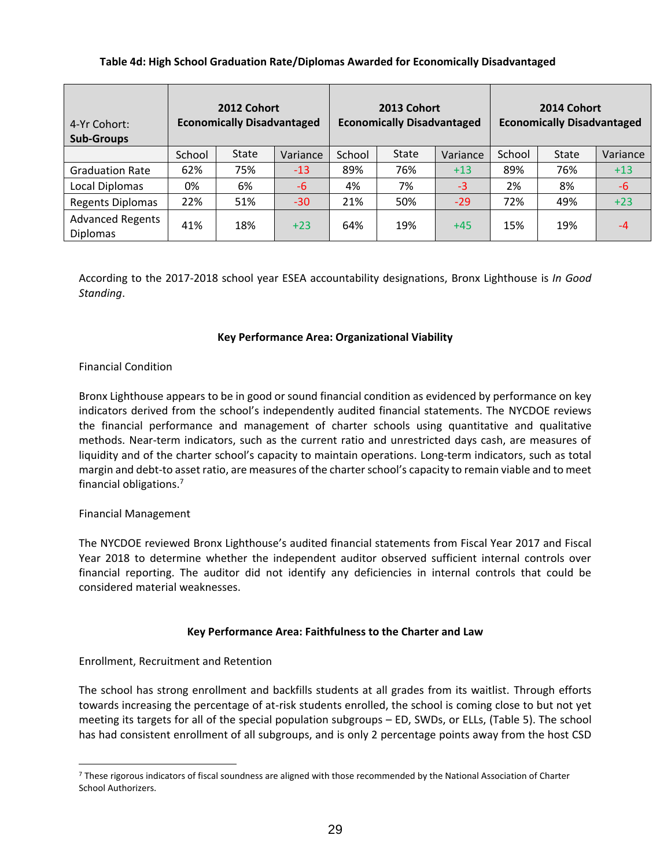#### **Table 4d: High School Graduation Rate/Diplomas Awarded for Economically Disadvantaged**

| 4-Yr Cohort:<br><b>Sub-Groups</b>          | 2012 Cohort<br><b>Economically Disadvantaged</b> |              | 2013 Cohort<br><b>Economically Disadvantaged</b> |        |              | 2014 Cohort<br><b>Economically Disadvantaged</b> |        |              |          |
|--------------------------------------------|--------------------------------------------------|--------------|--------------------------------------------------|--------|--------------|--------------------------------------------------|--------|--------------|----------|
|                                            | School                                           | <b>State</b> | Variance                                         | School | <b>State</b> | Variance                                         | School | <b>State</b> | Variance |
| <b>Graduation Rate</b>                     | 62%                                              | 75%          | $-13$                                            | 89%    | 76%          | $+13$                                            | 89%    | 76%          | $+13$    |
| Local Diplomas                             | 0%                                               | 6%           | $-6$                                             | 4%     | 7%           | $-3$                                             | 2%     | 8%           | $-6$     |
| <b>Regents Diplomas</b>                    | 22%                                              | 51%          | $-30$                                            | 21%    | 50%          | $-29$                                            | 72%    | 49%          | $+23$    |
| <b>Advanced Regents</b><br><b>Diplomas</b> | 41%                                              | 18%          | $+23$                                            | 64%    | 19%          | $+45$                                            | 15%    | 19%          | $-4$     |

According to the 2017-2018 school year ESEA accountability designations, Bronx Lighthouse is *In Good Standing*.

#### **Key Performance Area: Organizational Viability**

#### Financial Condition

Bronx Lighthouse appears to be in good or sound financial condition as evidenced by performance on key indicators derived from the school's independently audited financial statements. The NYCDOE reviews the financial performance and management of charter schools using quantitative and qualitative methods. Near‐term indicators, such as the current ratio and unrestricted days cash, are measures of liquidity and of the charter school's capacity to maintain operations. Long-term indicators, such as total margin and debt-to asset ratio, are measures of the charter school's capacity to remain viable and to meet financial obligations.<sup>7</sup>

#### Financial Management

 $\overline{a}$ 

The NYCDOE reviewed Bronx Lighthouse's audited financial statements from Fiscal Year 2017 and Fiscal Year 2018 to determine whether the independent auditor observed sufficient internal controls over financial reporting. The auditor did not identify any deficiencies in internal controls that could be considered material weaknesses.

#### **Key Performance Area: Faithfulness to the Charter and Law**

## Enrollment, Recruitment and Retention

The school has strong enrollment and backfills students at all grades from its waitlist. Through efforts towards increasing the percentage of at-risk students enrolled, the school is coming close to but not yet meeting its targets for all of the special population subgroups – ED, SWDs, or ELLs, (Table 5). The school has had consistent enrollment of all subgroups, and is only 2 percentage points away from the host CSD

<sup>&</sup>lt;sup>7</sup> These rigorous indicators of fiscal soundness are aligned with those recommended by the National Association of Charter School Authorizers.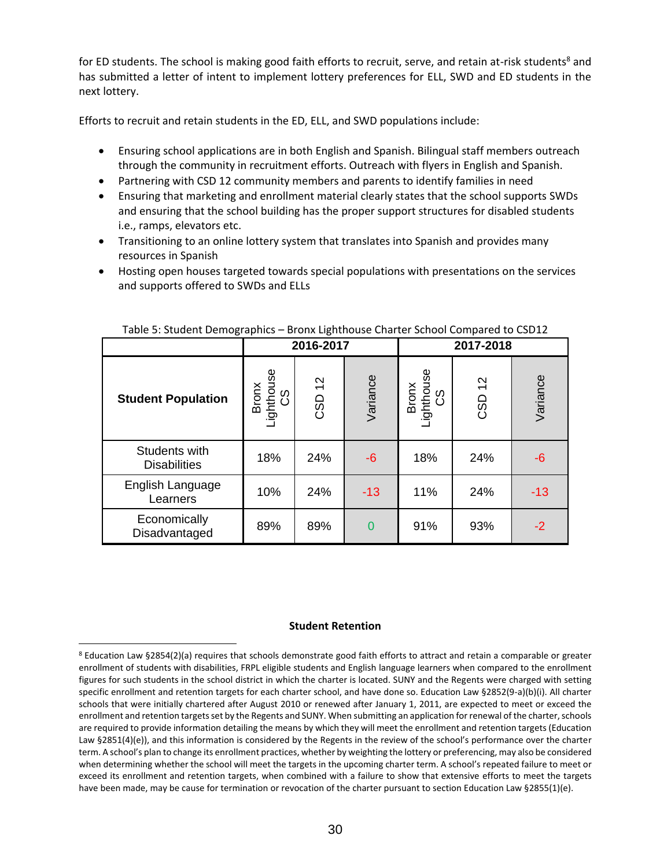for ED students. The school is making good faith efforts to recruit, serve, and retain at-risk students<sup>8</sup> and has submitted a letter of intent to implement lottery preferences for ELL, SWD and ED students in the next lottery.

Efforts to recruit and retain students in the ED, ELL, and SWD populations include:

- Ensuring school applications are in both English and Spanish. Bilingual staff members outreach through the community in recruitment efforts. Outreach with flyers in English and Spanish.
- Partnering with CSD 12 community members and parents to identify families in need
- Ensuring that marketing and enrollment material clearly states that the school supports SWDs and ensuring that the school building has the proper support structures for disabled students i.e., ramps, elevators etc.
- Transitioning to an online lottery system that translates into Spanish and provides many resources in Spanish
- Hosting open houses targeted towards special populations with presentations on the services and supports offered to SWDs and ELLs

|                                      |                               | 2016-2017<br>2017-2018 |                |                           |                                   |          |
|--------------------------------------|-------------------------------|------------------------|----------------|---------------------------|-----------------------------------|----------|
| <b>Student Population</b>            | Bronx<br>Lighthouse<br>CS ___ | CSD 12                 | Variance       | Bronx<br>Lighthouse<br>CS | $\frac{2}{3}$<br>CSD <sup>-</sup> | Variance |
| Students with<br><b>Disabilities</b> | 18%                           | 24%                    | $-6$           | 18%                       | 24%                               | $-6$     |
| English Language<br>Learners         | 10%                           | 24%                    | $-13$          | 11%                       | 24%                               | $-13$    |
| Economically<br>Disadvantaged        | 89%                           | 89%                    | $\overline{0}$ | 91%                       | 93%                               | $-2$     |

#### Table 5: Student Demographics – Bronx Lighthouse Charter School Compared to CSD12

#### **Student Retention**

 $\overline{a}$ 

<sup>8</sup> Education Law §2854(2)(a) requires that schools demonstrate good faith efforts to attract and retain a comparable or greater enrollment of students with disabilities, FRPL eligible students and English language learners when compared to the enrollment figures for such students in the school district in which the charter is located. SUNY and the Regents were charged with setting specific enrollment and retention targets for each charter school, and have done so. Education Law §2852(9-a)(b)(i). All charter schools that were initially chartered after August 2010 or renewed after January 1, 2011, are expected to meet or exceed the enrollment and retention targets set by the Regents and SUNY. When submitting an application for renewal of the charter, schools are required to provide information detailing the means by which they will meet the enrollment and retention targets (Education Law §2851(4)(e)), and this information is considered by the Regents in the review of the school's performance over the charter term. A school's plan to change its enrollment practices, whether by weighting the lottery or preferencing, may also be considered when determining whether the school will meet the targets in the upcoming charter term. A school's repeated failure to meet or exceed its enrollment and retention targets, when combined with a failure to show that extensive efforts to meet the targets have been made, may be cause for termination or revocation of the charter pursuant to section Education Law §2855(1)(e).